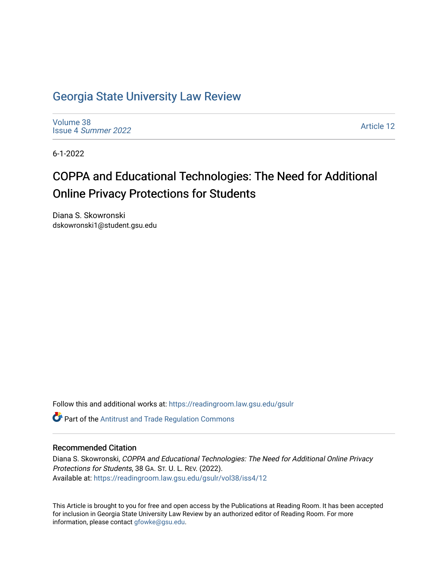# [Georgia State University Law Review](https://readingroom.law.gsu.edu/gsulr)

[Volume 38](https://readingroom.law.gsu.edu/gsulr/vol38) Issue 4 [Summer 2022](https://readingroom.law.gsu.edu/gsulr/vol38/iss4) 

[Article 12](https://readingroom.law.gsu.edu/gsulr/vol38/iss4/12) 

6-1-2022

# COPPA and Educational Technologies: The Need for Additional Online Privacy Protections for Students

Diana S. Skowronski dskowronski1@student.gsu.edu

Follow this and additional works at: [https://readingroom.law.gsu.edu/gsulr](https://readingroom.law.gsu.edu/gsulr?utm_source=readingroom.law.gsu.edu%2Fgsulr%2Fvol38%2Fiss4%2F12&utm_medium=PDF&utm_campaign=PDFCoverPages) 

**C** Part of the Antitrust and Trade Regulation Commons

# Recommended Citation

Diana S. Skowronski, COPPA and Educational Technologies: The Need for Additional Online Privacy Protections for Students, 38 GA. ST. U. L. REV. (2022). Available at: [https://readingroom.law.gsu.edu/gsulr/vol38/iss4/12](https://readingroom.law.gsu.edu/gsulr/vol38/iss4/12?utm_source=readingroom.law.gsu.edu%2Fgsulr%2Fvol38%2Fiss4%2F12&utm_medium=PDF&utm_campaign=PDFCoverPages) 

This Article is brought to you for free and open access by the Publications at Reading Room. It has been accepted for inclusion in Georgia State University Law Review by an authorized editor of Reading Room. For more information, please contact [gfowke@gsu.edu.](mailto:gfowke@gsu.edu)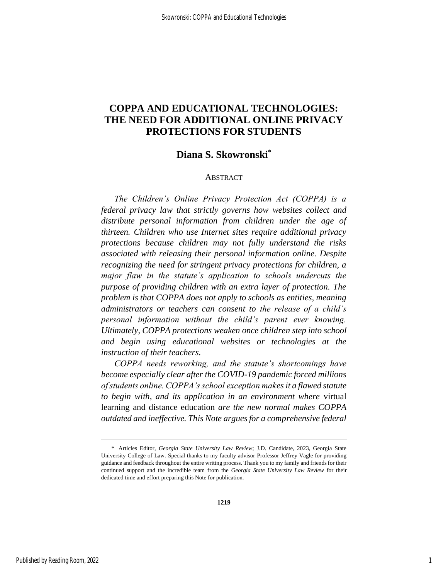# **COPPA AND EDUCATIONAL TECHNOLOGIES: THE NEED FOR ADDITIONAL ONLINE PRIVACY PROTECTIONS FOR STUDENTS**

# **Diana S. Skowronski\***

#### ABSTRACT

*The Children's Online Privacy Protection Act (COPPA) is a federal privacy law that strictly governs how websites collect and distribute personal information from children under the age of thirteen. Children who use Internet sites require additional privacy protections because children may not fully understand the risks associated with releasing their personal information online. Despite recognizing the need for stringent privacy protections for children, a major flaw in the statute's application to schools undercuts the purpose of providing children with an extra layer of protection. The problem is that COPPA does not apply to schools as entities, meaning administrators or teachers can consent to the release of a child's personal information without the child's parent ever knowing. Ultimately, COPPA protections weaken once children step into school and begin using educational websites or technologies at the instruction of their teachers.* 

*COPPA needs reworking, and the statute's shortcomings have become especially clear after the COVID-19 pandemic forced millions of students online. COPPA's school exception makes it a flawed statute to begin with, and its application in an environment where* virtual learning and distance education *are the new normal makes COPPA outdated and ineffective. This Note argues for a comprehensive federal* 

<sup>\*</sup> Articles Editor, *Georgia State University Law Review*; J.D. Candidate, 2023, Georgia State University College of Law. Special thanks to my faculty advisor Professor Jeffrey Vagle for providing guidance and feedback throughout the entire writing process. Thank you to my family and friends for their continued support and the incredible team from the *Georgia State University Law Review* for their dedicated time and effort preparing this Note for publication.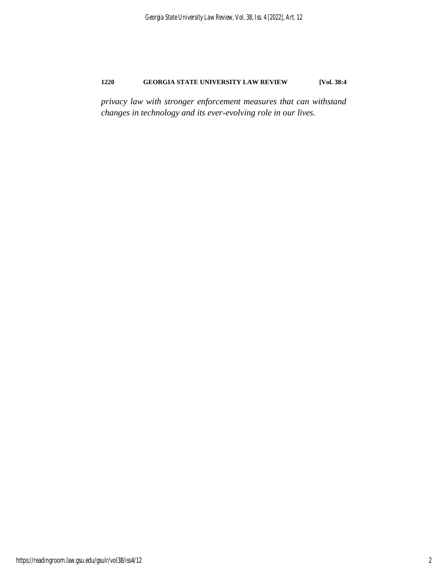*privacy law with stronger enforcement measures that can withstand changes in technology and its ever-evolving role in our lives.*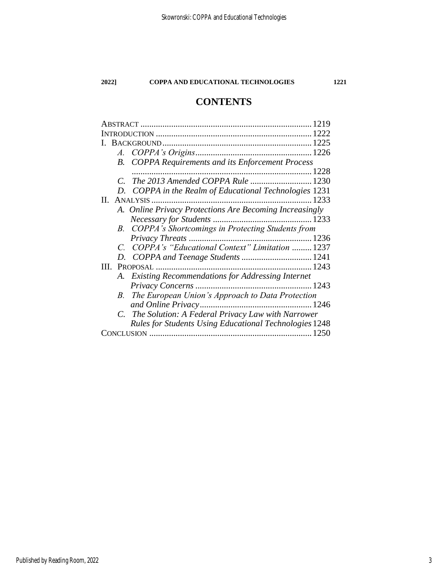# **CONTENTS**

| 1219 |             |                                                               |  |
|------|-------------|---------------------------------------------------------------|--|
| 1222 |             |                                                               |  |
|      |             |                                                               |  |
|      |             |                                                               |  |
|      |             | <b>B.</b> COPPA Requirements and its Enforcement Process      |  |
|      |             |                                                               |  |
|      | $C_{\cdot}$ | The 2013 Amended COPPA Rule  1230                             |  |
|      |             | D. COPPA in the Realm of Educational Technologies 1231        |  |
| П.   |             |                                                               |  |
|      |             | A. Online Privacy Protections Are Becoming Increasingly       |  |
|      |             |                                                               |  |
|      |             | B. COPPA's Shortcomings in Protecting Students from           |  |
|      |             |                                                               |  |
|      |             | C. COPPA's "Educational Context" Limitation  1237             |  |
|      |             |                                                               |  |
| Ш.   |             | PROPOSAL                                                      |  |
|      |             | A. Existing Recommendations for Addressing Internet           |  |
|      |             |                                                               |  |
|      |             | B. The European Union's Approach to Data Protection           |  |
|      |             |                                                               |  |
|      |             | C. The Solution: A Federal Privacy Law with Narrower          |  |
|      |             | <b>Rules for Students Using Educational Technologies 1248</b> |  |
|      |             |                                                               |  |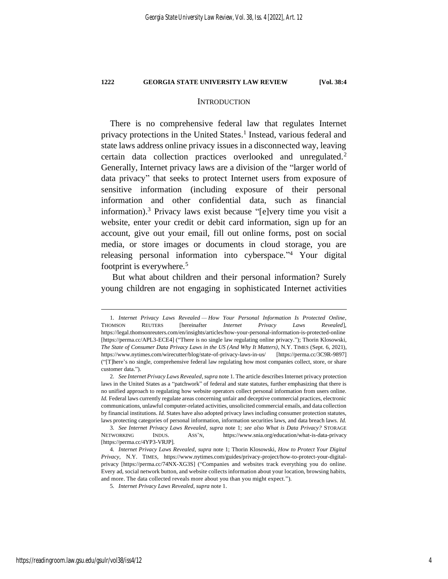#### <span id="page-4-0"></span>**INTRODUCTION**

There is no comprehensive federal law that regulates Internet privacy protections in the United States. 1 Instead, various federal and state laws address online privacy issues in a disconnected way, leaving certain data collection practices overlooked and unregulated.<sup>2</sup> Generally, Internet privacy laws are a division of the "larger world of data privacy" that seeks to protect Internet users from exposure of sensitive information (including exposure of their personal information and other confidential data, such as financial information).<sup>3</sup> Privacy laws exist because "[e]very time you visit a website, enter your credit or debit card information, sign up for an account, give out your email, fill out online forms, post on social media, or store images or documents in cloud storage, you are releasing personal information into cyberspace."<sup>4</sup> Your digital footprint is everywhere.<sup>5</sup>

But what about children and their personal information? Surely young children are not engaging in sophisticated Internet activities

<sup>1</sup>*. Internet Privacy Laws Revealed — How Your Personal Information Is Protected Online*, THOMSON REUTERS [hereinafter *Internet Privacy Laws Revealed*], https://legal.thomsonreuters.com/en/insights/articles/how-your-personal-information-is-protected-online [https://perma.cc/APL3-ECE4] ("There is no single law regulating online privacy."); Thorin Klosowski, *The State of Consumer Data Privacy Laws in the US (And Why It Matters)*, N.Y. TIMES (Sept. 6, 2021), https://www.nytimes.com/wirecutter/blog/state-of-privacy-laws-in-us/ [https://perma.cc/3C9R-9897] ("[T]here's no single, comprehensive federal law regulating how most companies collect, store, or share customer data.").

<sup>2</sup>*. See Internet Privacy Laws Revealed*, *supra* not[e 1.](#page-4-0) The article describes Internet privacy protection laws in the United States as a "patchwork" of federal and state statutes, further emphasizing that there is no unified approach to regulating how website operators collect personal information from users online. *Id.* Federal laws currently regulate areas concerning unfair and deceptive commercial practices, electronic communications, unlawful computer-related activities, unsolicited commercial emails, and data collection by financial institutions. *Id.* States have also adopted privacy laws including consumer protection statutes, laws protecting categories of personal information, information securities laws, and data breach laws. *Id.*

<sup>3</sup>*. See Internet Privacy Laws Revealed*, *supra* note [1;](#page-4-0) *see also What is Data Privacy?* STORAGE NETWORKING INDUS. ASS'N, https://www.snia.org/education/what-is-data-privacy [https://perma.cc/4YP3-VRJP].

<sup>4</sup>*. Internet Privacy Laws Revealed*, *supra* note [1;](#page-4-0) Thorin Klosowski, *How to Protect Your Digital Privacy*, N.Y. TIMES, https://www.nytimes.com/guides/privacy-project/how-to-protect-your-digitalprivacy [https://perma.cc/74NX-XG3S] ("Companies and websites track everything you do online. Every ad, social network button, and website collects information about your location, browsing habits, and more. The data collected reveals more about you than you might expect.").

<sup>5</sup>*. Internet Privacy Laws Revealed*, *supra* not[e 1.](#page-4-0)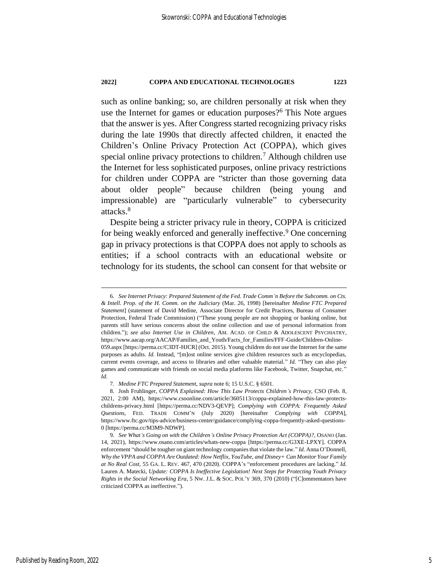<span id="page-5-0"></span>such as online banking; so, are children personally at risk when they use the Internet for games or education purposes?<sup>6</sup> This Note argues that the answer is yes. After Congress started recognizing privacy risks during the late 1990s that directly affected children, it enacted the Children's Online Privacy Protection Act (COPPA), which gives special online privacy protections to children.<sup>7</sup> Although children use the Internet for less sophisticated purposes, online privacy restrictions for children under COPPA are "stricter than those governing data about older people" because children (being young and impressionable) are "particularly vulnerable" to cybersecurity attacks.<sup>8</sup>

<span id="page-5-2"></span><span id="page-5-1"></span>Despite being a stricter privacy rule in theory, COPPA is criticized for being weakly enforced and generally ineffective.<sup>9</sup> One concerning gap in privacy protections is that COPPA does not apply to schools as entities; if a school contracts with an educational website or technology for its students, the school can consent for that website or

<sup>6</sup>*. See Internet Privacy: Prepared Statement of the Fed. Trade Comm'n Before the Subcomm. on Cts. & Intell. Prop. of the H. Comm. on the Judiciary* (Mar. 26, 1998) [hereinafter *Medine FTC Prepared Statement*] (statement of David Medine, Associate Director for Credit Practices, Bureau of Consumer Protection, Federal Trade Commission) ("These young people are not shopping or banking online, but parents still have serious concerns about the online collection and use of personal information from children."); *see also Internet Use in Children*, AM. ACAD. OF CHILD & ADOLESCENT PSYCHIATRY, https://www.aacap.org/AACAP/Families\_and\_Youth/Facts\_for\_Families/FFF-Guide/Children-Online-059.aspx [https://perma.cc/C3DT-HJCR] (Oct. 2015). Young children do not use the Internet for the same purposes as adults. *Id.* Instead, "[m]ost online services give children resources such as encyclopedias, current events coverage, and access to libraries and other valuable material." *Id.* "They can also play games and communicate with friends on social media platforms like Facebook, Twitter, Snapchat, etc." *Id*.

<sup>7</sup>*. Medine FTC Prepared Statement*, *supra* not[e 6;](#page-5-0) 15 U.S.C. § 6501.

<sup>8.</sup> Josh Fruhlinger, *COPPA Explained: How This Law Protects Children's Privacy*, CSO (Feb. 8, 2021, 2:00 AM), https://www.csoonline.com/article/3605113/coppa-explained-how-this-law-protectschildrens-privacy.html [https://perma.cc/NDV3-QEVP]; *Complying with COPPA: Frequently Asked Questions*, FED. TRADE COMM'N (July 2020) [hereinafter *Complying with COPPA*], https://www.ftc.gov/tips-advice/business-center/guidance/complying-coppa-frequently-asked-questions-0 [https://perma.cc/M3M9-NDWP].

<sup>9</sup>*. See What's Going on with the Children's Online Privacy Protection Act (COPPA)?*, OSANO (Jan. 14, 2021), https://www.osano.com/articles/whats-new-coppa [https://perma.cc/G3XE-LPXY]. COPPA enforcement "should be tougher on giant technology companies that violate the law." *Id.* Anna O'Donnell, *Why the VPPA and COPPA Are Outdated: How Netflix, YouTube, and Disney+ Can Monitor Your Family at No Real Cost*, 55 GA. L. REV. 467, 470 (2020). COPPA's "enforcement procedures are lacking." *Id.* Lauren A. Matecki, *Update: COPPA Is Ineffective Legislation! Next Steps for Protecting Youth Privacy Rights in the Social Networking Era*, 5 NW. J.L. & SOC. POL'Y 369, 370 (2010) ("[C]ommentators have criticized COPPA as ineffective.").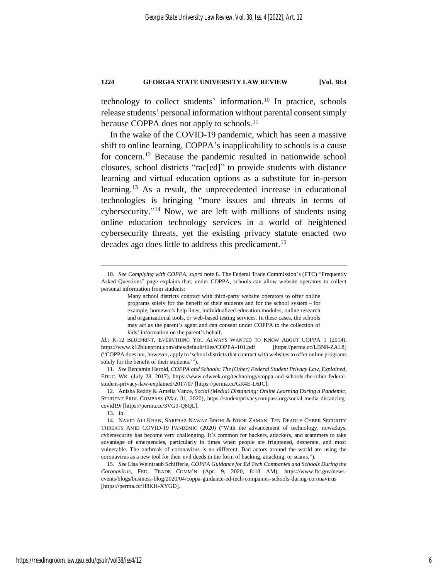technology to collect students' information.<sup>10</sup> In practice, schools release students' personal information without parental consent simply because COPPA does not apply to schools.<sup>11</sup>

<span id="page-6-1"></span><span id="page-6-0"></span>In the wake of the COVID-19 pandemic, which has seen a massive shift to online learning, COPPA's inapplicability to schools is a cause for concern.<sup>12</sup> Because the pandemic resulted in nationwide school closures, school districts "rac[ed]" to provide students with distance learning and virtual education options as a substitute for in-person learning.<sup>13</sup> As a result, the unprecedented increase in educational technologies is bringing "more issues and threats in terms of cybersecurity." <sup>14</sup> Now, we are left with millions of students using online education technology services in a world of heightened cybersecurity threats, yet the existing privacy statute enacted two decades ago does little to address this predicament.<sup>15</sup>

11*. See* Benjamin Herold, *COPPA and Schools: The (Other) Federal Student Privacy Law, Explained*, EDUC. WK. (July 28, 2017), https://www.edweek.org/technology/coppa-and-schools-the-other-federalstudent-privacy-law-explained/2017/07 [https://perma.cc/GR4E-L6JC].

12. Anisha Reddy & Amelia Vance, *Social (Media) Distancing: Online Learning During a Pandemic*, STUDENT PRIV. COMPASS (Mar. 31, 2020), https://studentprivacycompass.org/social-media-distancingcovid19/ [https://perma.cc/3VG9-Q6QL].

<span id="page-6-2"></span><sup>10</sup>*. See Complying with COPPA*, *supra* note [8](#page-5-1)*.* The Federal Trade Commission's (FTC) "Frequently Asked Questions" page explains that, under COPPA, schools can allow website operators to collect personal information from students:

<span id="page-6-3"></span>Many school districts contract with third-party website operators to offer online programs solely for the benefit of their students and for the school system – for example, homework help lines, individualized education modules, online research and organizational tools, or web-based testing services. In these cases, the schools may act as the parent's agent and can consent under COPPA to the collection of kids' information on the parent's behalf.

*Id.*; K-12 BLUEPRINT, EVERYTHING YOU ALWAYS WANTED TO KNOW ABOUT COPPA 1 (2014), https://www.k12blueprint.com/sites/default/files/COPPA-101.pdf [https://perma.cc/LBN8-ZAL8] ("COPPA does not, however, apply to 'school districtsthat contract with websitesto offer online programs solely for the benefit of their students.'").

<sup>13</sup>*. Id.*

<sup>14.</sup> NAVID ALI KHAN, SARFRAZ NAWAZ BROHI & NOOR ZAMAN, TEN DEADLY CYBER SECURITY THREATS AMID COVID-19 PANDEMIC (2020) ("With the advancement of technology, nowadays, cybersecurity has become very challenging. It's common for hackers, attackers, and scammers to take advantage of emergencies, particularly in times when people are frightened, desperate, and most vulnerable. The outbreak of coronavirus is no different. Bad actors around the world are using the coronavirus as a new tool for their evil deeds in the form of hacking, attacking, or scams.").

<sup>15</sup>*. See* Lisa Weintraub Schifferle, *COPPA Guidance for Ed Tech Companies and Schools During the Coronavirus*, FED. TRADE COMM'N (Apr. 9, 2020, 8:18 AM), https://www.ftc.gov/newsevents/blogs/business-blog/2020/04/coppa-guidance-ed-tech-companies-schools-during-coronavirus [https://perma.cc/H8KH-XYGD].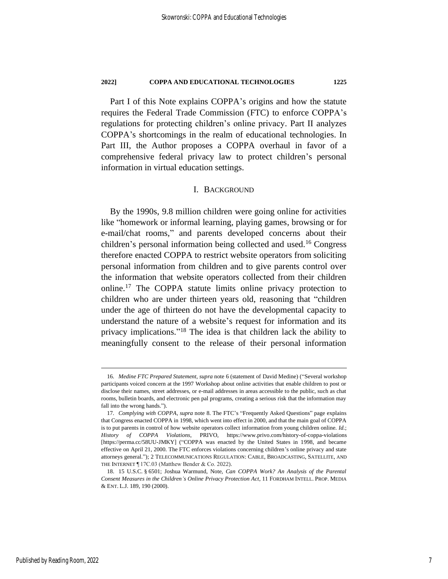Part I of this Note explains COPPA's origins and how the statute requires the Federal Trade Commission (FTC) to enforce COPPA's regulations for protecting children's online privacy. Part II analyzes COPPA's shortcomings in the realm of educational technologies. In Part III, the Author proposes a COPPA overhaul in favor of a comprehensive federal privacy law to protect children's personal information in virtual education settings.

# I. BACKGROUND

<span id="page-7-1"></span>By the 1990s, 9.8 million children were going online for activities like "homework or informal learning, playing games, browsing or for e-mail/chat rooms," and parents developed concerns about their children's personal information being collected and used.<sup>16</sup> Congress therefore enacted COPPA to restrict website operators from soliciting personal information from children and to give parents control over the information that website operators collected from their children online.<sup>17</sup> The COPPA statute limits online privacy protection to children who are under thirteen years old, reasoning that "children under the age of thirteen do not have the developmental capacity to understand the nature of a website's request for information and its privacy implications." <sup>18</sup> The idea is that children lack the ability to meaningfully consent to the release of their personal information

<span id="page-7-0"></span><sup>16</sup>*. Medine FTC Prepared Statement*, *supra* note [6](#page-5-0) (statement of David Medine) ("Several workshop participants voiced concern at the 1997 Workshop about online activities that enable children to post or disclose their names, street addresses, or e-mail addresses in areas accessible to the public, such as chat rooms, bulletin boards, and electronic pen pal programs, creating a serious risk that the information may fall into the wrong hands.").

<sup>17</sup>*. Complying with COPPA*, *supra* note [8.](#page-5-1) The FTC's "Frequently Asked Questions" page explains that Congress enacted COPPA in 1998, which went into effect in 2000, and that the main goal of COPPA is to put parents in control of how website operators collect information from young children online. *Id.*; *History of COPPA Violations*, PRIVO, https://www.privo.com/history-of-coppa-violations [https://perma.cc/58UU-JMKY] ("COPPA was enacted by the United States in 1998, and became effective on April 21, 2000. The FTC enforces violations concerning children's online privacy and state attorneys general."); 2 TELECOMMUNICATIONS REGULATION: CABLE, BROADCASTING, SATELLITE, AND THE INTERNET ¶ 17C.03 (Matthew Bender & Co. 2022).

<sup>18.</sup> 15 U.S.C. § 6501; Joshua Warmund, Note, *Can COPPA Work? An Analysis of the Parental Consent Measures in the Children's Online Privacy Protection Act*, 11 FORDHAM INTELL. PROP. MEDIA & ENT. L.J. 189, 190 (2000).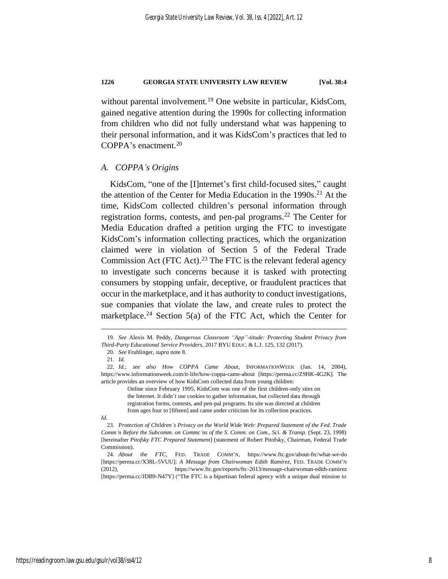<span id="page-8-2"></span>without parental involvement.<sup>19</sup> One website in particular, KidsCom, gained negative attention during the 1990s for collecting information from children who did not fully understand what was happening to their personal information, and it was KidsCom's practices that led to COPPA's enactment.<sup>20</sup>

#### *A. COPPA's Origins*

<span id="page-8-1"></span>KidsCom, "one of the [I]nternet's first child-focused sites," caught the attention of the Center for Media Education in the 1990s.<sup>21</sup> At the time, KidsCom collected children's personal information through registration forms, contests, and pen-pal programs.<sup>22</sup> The Center for Media Education drafted a petition urging the FTC to investigate KidsCom's information collecting practices, which the organization claimed were in violation of Section 5 of the Federal Trade Commission Act (FTC Act).<sup>23</sup> The FTC is the relevant federal agency to investigate such concerns because it is tasked with protecting consumers by stopping unfair, deceptive, or fraudulent practices that occur in the marketplace, and it has authority to conduct investigations, sue companies that violate the law, and create rules to protect the marketplace.<sup>24</sup> Section 5(a) of the FTC Act, which the Center for

Online since February 1995, KidsCom was one of the first children-only sites on the Internet. It didn't use cookies to gather information, but collected data through registration forms, contests, and pen-pal programs. Its site was directed at children from ages four to [fifteen] and came under criticism for its collection practices.

#### *Id.*

23*. Protection of Children's Privacy on the World Wide Web: Prepared Statement of the Fed. Trade Comm'n Before the Subcomm. on Commc'ns of the S. Comm. on Com., Sci. & Transp.* (Sept. 23, 1998) [hereinafter *Pitofsky FTC Prepared Statement*] (statement of Robert Pitofsky, Chairman, Federal Trade Commission).

24*. About the FTC*, FED. TRADE COMM'N, https://www.ftc.gov/about-ftc/what-we-do [https://perma.cc/X38L-5VUU]; *A Message from Chairwoman Edith Ramirez*, FED. TRADE COMM'N (2012), https://www.ftc.gov/reports/ftc-2013/message-chairwoman-edith-ramirez [https://perma.cc/JDB9-N47Y] ("The FTC is a bipartisan federal agency with a unique dual mission to

<span id="page-8-0"></span><sup>19</sup>*. See* Alexis M. Peddy, *Dangerous Classroom "App"-titude: Protecting Student Privacy from Third-Party Educational Service Providers*, 2017 BYU EDUC. & L.J. 125, 132 (2017).

<sup>20</sup>*. See* Fruhlinger, *supra* note [8.](#page-5-1)

<sup>21</sup>*. Id.*

<sup>22</sup>*. Id.*; *see also How COPPA Came About*, INFORMATIONWEEK (Jan. 14, 2004), https://www.informationweek.com/it-life/how-coppa-came-about [https://perma.cc/Z9HK-4G2K]. The article provides an overview of how KidsCom collected data from young children: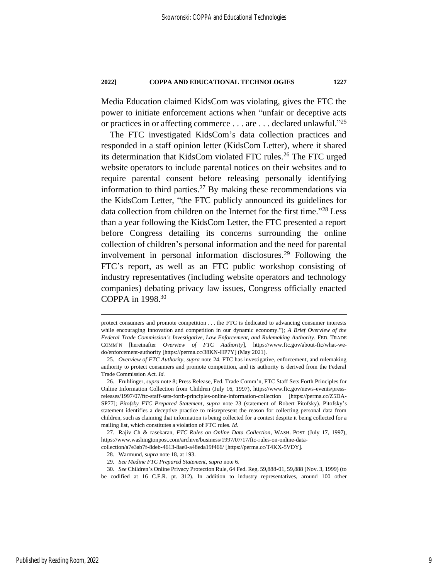Media Education claimed KidsCom was violating, gives the FTC the power to initiate enforcement actions when "unfair or deceptive acts or practices in or affecting commerce . . . are . . . declared unlawful."<sup>25</sup>

The FTC investigated KidsCom's data collection practices and responded in a staff opinion letter (KidsCom Letter), where it shared its determination that KidsCom violated FTC rules.<sup>26</sup> The FTC urged website operators to include parental notices on their websites and to require parental consent before releasing personally identifying information to third parties.<sup>27</sup> By making these recommendations via the KidsCom Letter, "the FTC publicly announced its guidelines for data collection from children on the Internet for the first time." <sup>28</sup> Less than a year following the KidsCom Letter, the FTC presented a report before Congress detailing its concerns surrounding the online collection of children's personal information and the need for parental involvement in personal information disclosures.<sup>29</sup> Following the FTC's report, as well as an FTC public workshop consisting of industry representatives (including website operators and technology companies) debating privacy law issues, Congress officially enacted COPPA in 1998.<sup>30</sup>

protect consumers and promote competition . . . the FTC is dedicated to advancing consumer interests while encouraging innovation and competition in our dynamic economy."); *A Brief Overview of the Federal Trade Commission's Investigative, Law Enforcement, and Rulemaking Authority*, FED. TRADE COMM'N [hereinafter *Overview of FTC Authority*], https://www.ftc.gov/about-ftc/what-wedo/enforcement-authority [https://perma.cc/38KN-HP7Y] (May 2021).

<sup>25</sup>*. Overview of FTC Authority*, *supra* not[e 24.](#page-8-0) FTC has investigative, enforcement, and rulemaking authority to protect consumers and promote competition, and its authority is derived from the Federal Trade Commission Act. *Id.*

<sup>26.</sup> Fruhlinger, *supra* note [8;](#page-5-1) Press Release, Fed. Trade Comm'n, FTC Staff Sets Forth Principles for Online Information Collection from Children (July 16, 1997), https://www.ftc.gov/news-events/pressreleases/1997/07/ftc-staff-sets-forth-principles-online-information-collection [https://perma.cc/Z5DA-SP77]; *Pitofsky FTC Prepared Statement*, *supra* note [23](#page-8-1) (statement of Robert Pitofsky). Pitofsky's statement identifies a deceptive practice to misrepresent the reason for collecting personal data from children, such as claiming that information is being collected for a contest despite it being collected for a mailing list, which constitutes a violation of FTC rules. *Id.*

<sup>27.</sup> Rajiv Ch & rasekaran, *FTC Rules on Online Data Collection*, WASH. POST (July 17, 1997), https://www.washingtonpost.com/archive/business/1997/07/17/ftc-rules-on-online-data-

collection/a7e3ab7f-8deb-4613-8ae0-a48eda19f466/ [https://perma.cc/T4KX-5VDY].

<sup>28.</sup> Warmund, *supra* note [18,](#page-7-0) at 193.

<sup>29</sup>*. See Medine FTC Prepared Statement*, *supra* not[e 6.](#page-5-0)

<sup>30</sup>*. See* Children's Online Privacy Protection Rule, 64 Fed. Reg. 59,888-01, 59,888 (Nov. 3, 1999) (to be codified at 16 C.F.R. pt. 312). In addition to industry representatives, around 100 other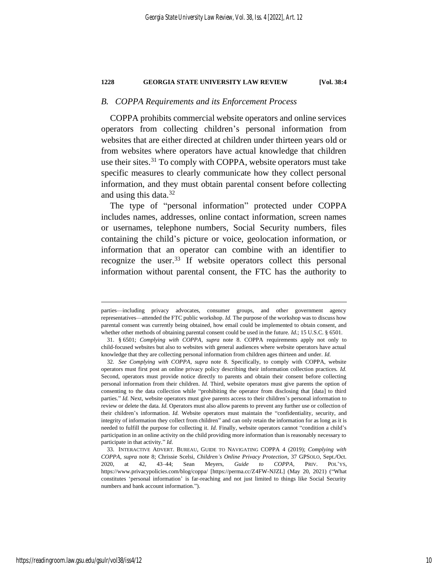#### *B. COPPA Requirements and its Enforcement Process*

COPPA prohibits commercial website operators and online services operators from collecting children's personal information from websites that are either directed at children under thirteen years old or from websites where operators have actual knowledge that children use their sites.<sup>31</sup> To comply with COPPA, website operators must take specific measures to clearly communicate how they collect personal information, and they must obtain parental consent before collecting and using this data. $32$ 

The type of "personal information" protected under COPPA includes names, addresses, online contact information, screen names or usernames, telephone numbers, Social Security numbers, files containing the child's picture or voice, geolocation information, or information that an operator can combine with an identifier to recognize the user.<sup>33</sup> If website operators collect this personal information without parental consent, the FTC has the authority to

parties—including privacy advocates, consumer groups, and other government agency representatives—attended the FTC public workshop. *Id.* The purpose of the workshop was to discuss how parental consent was currently being obtained, how email could be implemented to obtain consent, and whether other methods of obtaining parental consent could be used in the future. *Id.*; 15 U.S.C. § 6501.

<sup>31.</sup> § 6501; *Complying with COPPA*, *supra* note [8.](#page-5-1) COPPA requirements apply not only to child-focused websites but also to websites with general audiences where website operators have actual knowledge that they are collecting personal information from children ages thirteen and under. *Id.*

<sup>32</sup>*. See Complying with COPPA*, *supra* note [8.](#page-5-1) Specifically, to comply with COPPA, website operators must first post an online privacy policy describing their information collection practices. *Id.*  Second, operators must provide notice directly to parents and obtain their consent before collecting personal information from their children. *Id.* Third, website operators must give parents the option of consenting to the data collection while "prohibiting the operator from disclosing that [data] to third parties." *Id.* Next, website operators must give parents access to their children's personal information to review or delete the data. *Id.* Operators must also allow parents to prevent any further use or collection of their children's information. *Id.* Website operators must maintain the "confidentiality, security, and integrity of information they collect from children" and can only retain the information for as long as it is needed to fulfill the purpose for collecting it. *Id.* Finally, website operators cannot "condition a child's participation in an online activity on the child providing more information than is reasonably necessary to participate in that activity." *Id.*

<sup>33.</sup> INTERACTIVE ADVERT. BUREAU, GUIDE TO NAVIGATING COPPA 4 (2019); *Complying with COPPA*, *supra* note [8;](#page-5-1) Chrissie Scelsi, *Children's Online Privacy Protection*, 37 GPSOLO, Sept./Oct. 2020, at 42, 43–44; Sean Meyers, *Guide to COPPA*, PRIV. POL'YS, https://www.privacypolicies.com/blog/coppa/ [https://perma.cc/Z4FW-NJZL] (May 20, 2021) ("What constitutes 'personal information' is far-reaching and not just limited to things like Social Security numbers and bank account information.").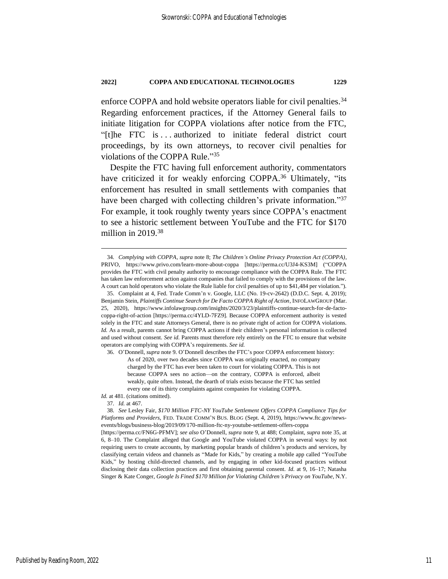enforce COPPA and hold website operators liable for civil penalties.<sup>34</sup> Regarding enforcement practices, if the Attorney General fails to initiate litigation for COPPA violations after notice from the FTC, "[t]he FTC is . . . authorized to initiate federal district court proceedings, by its own attorneys, to recover civil penalties for violations of the COPPA Rule." 35

<span id="page-11-0"></span>Despite the FTC having full enforcement authority, commentators have criticized it for weakly enforcing COPPA.<sup>36</sup> Ultimately, "its enforcement has resulted in small settlements with companies that have been charged with collecting children's private information."37 For example, it took roughly twenty years since COPPA's enactment to see a historic settlement between YouTube and the FTC for \$170 million in 2019.<sup>38</sup>

36. O'Donnell, *supra* not[e 9.](#page-5-2) O'Donnell describes the FTC's poor COPPA enforcement history:

Id. at 481. (citations omitted).

<span id="page-11-1"></span><sup>34</sup>*. Complying with COPPA*, *supra* not[e 8;](#page-5-1) *The Children's Online Privacy Protection Act (COPPA)*, PRIVO, https://www.privo.com/learn-more-about-coppa [https://perma.cc/U3J4-KS3M] ("COPPA provides the FTC with civil penalty authority to encourage compliance with the COPPA Rule. The FTC has taken law enforcement action against companies that failed to comply with the provisions of the law. A court can hold operators who violate the Rule liable for civil penalties of up to \$41,484 per violation.")*.*

<sup>35.</sup> Complaint at 4, Fed. Trade Comm'n v. Google, LLC (No. 19-cv-2642) (D.D.C. Sept. 4, 2019); Benjamin Stein, *Plaintiffs Continue Search for De Facto COPPA Right of Action*, INFOLAWGROUP (Mar. 25, 2020), https://www.infolawgroup.com/insights/2020/3/23/plaintiffs-continue-search-for-de-factocoppa-right-of-action [https://perma.cc/4YLD-7FZ9]. Because COPPA enforcement authority is vested solely in the FTC and state Attorneys General, there is no private right of action for COPPA violations. *Id.* As a result, parents cannot bring COPPA actions if their children's personal information is collected and used without consent. *See id.* Parents must therefore rely entirely on the FTC to ensure that website operators are complying with COPPA's requirements. *See id.*

As of 2020, over two decades since COPPA was originally enacted, no company charged by the FTC has ever been taken to court for violating COPPA. This is not because COPPA sees no action—on the contrary, COPPA is enforced, albeit weakly, quite often. Instead, the dearth of trials exists because the FTC has settled every one of its thirty complaints against companies for violating COPPA.

<sup>37</sup>*. Id.* at 467.

<sup>38</sup>*. See* Lesley Fair, *\$170 Million FTC-NY YouTube Settlement Offers COPPA Compliance Tips for Platforms and Providers*, FED. TRADE COMM'N BUS. BLOG (Sept. 4, 2019), https://www.ftc.gov/newsevents/blogs/business-blog/2019/09/170-million-ftc-ny-youtube-settlement-offers-coppa

<sup>[</sup>https://perma.cc/FN6G-PFMV]; *see also* O'Donnell, *supra* note [9,](#page-5-2) at 488; Complaint, *supra* note [35,](#page-11-0) at 6, 8–10. The Complaint alleged that Google and YouTube violated COPPA in several ways: by not requiring users to create accounts, by marketing popular brands of children's products and services, by classifying certain videos and channels as "Made for Kids," by creating a mobile app called "YouTube Kids," by hosting child-directed channels, and by engaging in other kid-focused practices without disclosing their data collection practices and first obtaining parental consent. *Id.* at 9, 16–17; Natasha Singer & Kate Conger, *Google Is Fined \$170 Million for Violating Children's Privacy on YouTube*, N.Y.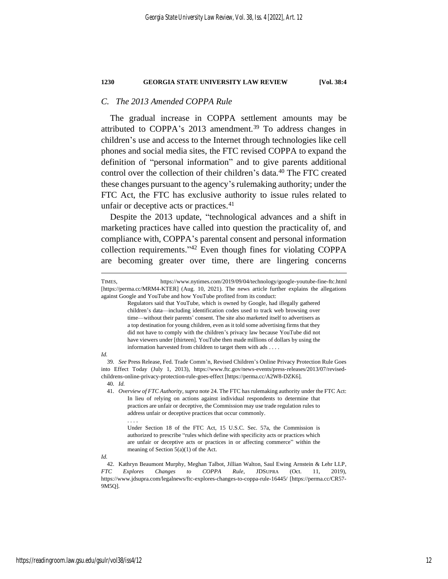# *C. The 2013 Amended COPPA Rule*

The gradual increase in COPPA settlement amounts may be attributed to COPPA's 2013 amendment.<sup>39</sup> To address changes in children's use and access to the Internet through technologies like cell phones and social media sites, the FTC revised COPPA to expand the definition of "personal information" and to give parents additional control over the collection of their children's data.<sup>40</sup> The FTC created these changes pursuant to the agency's rulemaking authority; under the FTC Act, the FTC has exclusive authority to issue rules related to unfair or deceptive acts or practices.<sup>41</sup>

Despite the 2013 update, "technological advances and a shift in marketing practices have called into question the practicality of, and compliance with, COPPA's parental consent and personal information collection requirements." <sup>42</sup> Even though fines for violating COPPA are becoming greater over time, there are lingering concerns

#### *Id.*

. . . .

TIMES, https://www.nytimes.com/2019/09/04/technology/google-youtube-fine-ftc.html [https://perma.cc/MRM4-KTER] (Aug. 10, 2021). The news article further explains the allegations against Google and YouTube and how YouTube profited from its conduct:

<span id="page-12-0"></span>Regulators said that YouTube, which is owned by Google, had illegally gathered children's data—including identification codes used to track web browsing over time—without their parents' consent. The site also marketed itself to advertisers as a top destination for young children, even as it told some advertising firms that they did not have to comply with the children's privacy law because YouTube did not have viewers under [thirteen]. YouTube then made millions of dollars by using the information harvested from children to target them with ads . . . .

<sup>39</sup>*. See* Press Release, Fed. Trade Comm'n, Revised Children's Online Privacy Protection Rule Goes into Effect Today (July 1, 2013), https://www.ftc.gov/news-events/press-releases/2013/07/revisedchildrens-online-privacy-protection-rule-goes-effect [https://perma.cc/A2W8-DZK6]. 40*. Id.*

<sup>41</sup>*. Overview of FTC Authority*, *supra* not[e 24.](#page-8-0) The FTC has rulemaking authority under the FTC Act: In lieu of relying on actions against individual respondents to determine that practices are unfair or deceptive, the Commission may use trade regulation rules to address unfair or deceptive practices that occur commonly.

Under Section 18 of the FTC Act, 15 U.S.C. Sec. 57a, the Commission is authorized to prescribe "rules which define with specificity acts or practices which are unfair or deceptive acts or practices in or affecting commerce" within the meaning of Section 5(a)(1) of the Act.

*Id.*

<sup>42.</sup> Kathryn Beaumont Murphy, Meghan Talbot, Jillian Walton, Saul Ewing Arnstein & Lehr LLP, *FTC Explores Changes to COPPA Rule*, JDSUPRA (Oct. 11, 2019), https://www.jdsupra.com/legalnews/ftc-explores-changes-to-coppa-rule-16445/ [https://perma.cc/CR57- 9M5Q].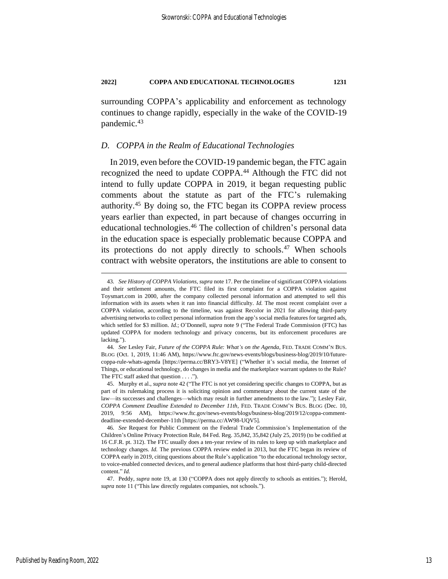surrounding COPPA's applicability and enforcement as technology continues to change rapidly, especially in the wake of the COVID-19 pandemic.<sup>43</sup>

### *D. COPPA in the Realm of Educational Technologies*

<span id="page-13-0"></span>In 2019, even before the COVID-19 pandemic began, the FTC again recognized the need to update COPPA.<sup>44</sup> Although the FTC did not intend to fully update COPPA in 2019, it began requesting public comments about the statute as part of the FTC's rulemaking authority.<sup>45</sup> By doing so, the FTC began its COPPA review process years earlier than expected, in part because of changes occurring in educational technologies.<sup>46</sup> The collection of children's personal data in the education space is especially problematic because COPPA and its protections do not apply directly to schools.<sup>47</sup> When schools contract with website operators, the institutions are able to consent to

<sup>43</sup>*. See History of COPPA Violations*, *supra* not[e 17.](#page-7-1) Per the timeline of significant COPPA violations and their settlement amounts, the FTC filed its first complaint for a COPPA violation against Toysmart.com in 2000, after the company collected personal information and attempted to sell this information with its assets when it ran into financial difficulty. *Id.* The most recent complaint over a COPPA violation, according to the timeline, was against Recolor in 2021 for allowing third-party advertising networks to collect personal information from the app's social media features for targeted ads, which settled for \$3 million. *Id.*; O'Donnell, *supra* not[e 9](#page-5-2) ("The Federal Trade Commission (FTC) has updated COPPA for modern technology and privacy concerns, but its enforcement procedures are lacking.").

<sup>44</sup>*. See* Lesley Fair, *Future of the COPPA Rule: What's on the Agenda*, FED. TRADE COMM'N BUS. BLOG (Oct. 1, 2019, 11:46 AM), https://www.ftc.gov/news-events/blogs/business-blog/2019/10/futurecoppa-rule-whats-agenda [https://perma.cc/BRY3-V8YE] ("Whether it's social media, the Internet of Things, or educational technology, do changes in media and the marketplace warrant updates to the Rule? The FTC staff asked that question . . . .").

<sup>45.</sup> Murphy et al., *supra* not[e 42](#page-12-0) ("The FTC is not yet considering specific changes to COPPA, but as part of its rulemaking process it is soliciting opinion and commentary about the current state of the law—its successes and challenges—which may result in further amendments to the law."); Lesley Fair, *COPPA Comment Deadline Extended to December 11th*, FED. TRADE COMM'N BUS. BLOG (Dec. 10, 2019, 9:56 AM), https://www.ftc.gov/news-events/blogs/business-blog/2019/12/coppa-commentdeadline-extended-december-11th [https://perma.cc/AW98-UQV5].

<sup>46</sup>*. See* Request for Public Comment on the Federal Trade Commission's Implementation of the Children's Online Privacy Protection Rule, 84 Fed. Reg. 35,842, 35,842 (July 25, 2019) (to be codified at 16 C.F.R. pt. 312). The FTC usually does a ten-year review of its rules to keep up with marketplace and technology changes. *Id.* The previous COPPA review ended in 2013, but the FTC began its review of COPPA early in 2019, citing questions about the Rule's application "to the educational technology sector, to voice-enabled connected devices, and to general audience platforms that host third-party child-directed content." *Id.*

<sup>47.</sup> Peddy, *supra* note [19,](#page-8-2) at 130 ("COPPA does not apply directly to schools as entities."); Herold, *supra* not[e 11](#page-6-0) ("This law directly regulates companies, not schools.").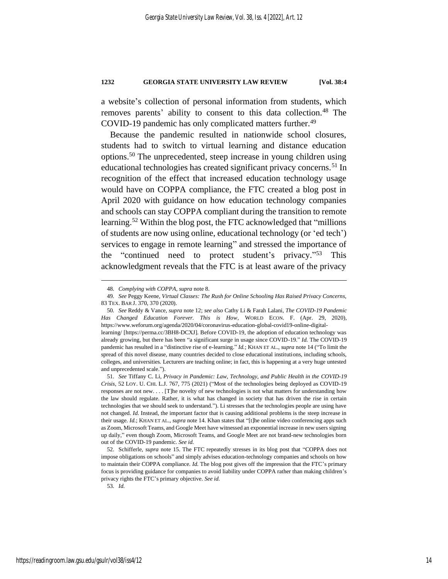a website's collection of personal information from students, which removes parents' ability to consent to this data collection.<sup>48</sup> The COVID-19 pandemic has only complicated matters further. 49

<span id="page-14-1"></span><span id="page-14-0"></span>Because the pandemic resulted in nationwide school closures, students had to switch to virtual learning and distance education options.<sup>50</sup> The unprecedented, steep increase in young children using educational technologies has created significant privacy concerns.<sup>51</sup> In recognition of the effect that increased education technology usage would have on COPPA compliance, the FTC created a blog post in April 2020 with guidance on how education technology companies and schools can stay COPPA compliant during the transition to remote learning.<sup>52</sup> Within the blog post, the FTC acknowledged that "millions" of students are now using online, educational technology (or 'ed tech') services to engage in remote learning" and stressed the importance of the "continued need to protect student's privacy."<sup>53</sup> This acknowledgment reveals that the FTC is at least aware of the privacy

53*. Id.*

<sup>48</sup>*. Complying with COPPA*, *supra* not[e 8.](#page-5-1)

<sup>49</sup>*. See* Peggy Keene, *Virtual Classes: The Rush for Online Schooling Has Raised Privacy Concerns*, 83 TEX. BAR J. 370, 370 (2020).

<sup>50</sup>*. See* Reddy & Vance, *supra* note [12;](#page-6-1) *see also* Cathy Li & Farah Lalani, *The COVID-19 Pandemic Has Changed Education Forever. This is How*, WORLD ECON. F. (Apr. 29, 2020), https://www.weforum.org/agenda/2020/04/coronavirus-education-global-covid19-online-digitallearning/ [https://perma.cc/3BH8-DCXJ]. Before COVID-19, the adoption of education technology was already growing, but there has been "a significant surge in usage since COVID-19." *Id.* The COVID-19

pandemic has resulted in a "distinctive rise of e-learning." *Id.*; KHAN ET AL., *supra* not[e 14](#page-6-2) ("To limit the spread of this novel disease, many countries decided to close educational institutions, including schools, colleges, and universities. Lecturers are teaching online; in fact, this is happening at a very huge untested and unprecedented scale.").

<sup>51</sup>*. See* Tiffany C. Li, *Privacy in Pandemic: Law, Technology, and Public Health in the COVID-19 Crisis*, 52 LOY. U. CHI. L.J. 767, 775 (2021) ("Most of the technologies being deployed as COVID-19 responses are not new. . . . [T]he novelty of new technologies is not what matters for understanding how the law should regulate. Rather, it is what has changed in society that has driven the rise in certain technologies that we should seek to understand."). Li stresses that the technologies people are using have not changed. *Id.* Instead, the important factor that is causing additional problems is the steep increase in their usage. *Id.*; KHAN ET AL., *supra* not[e 14.](#page-6-2) Khan states that "[t]he online video conferencing apps such as Zoom, Microsoft Teams, and Google Meet have witnessed an exponential increase in new users signing up daily," even though Zoom, Microsoft Teams, and Google Meet are not brand-new technologies born out of the COVID-19 pandemic. *See id.*

<sup>52.</sup> Schifferle, *supra* note [15.](#page-6-3) The FTC repeatedly stresses in its blog post that "COPPA does not impose obligations on schools" and simply advises education-technology companies and schools on how to maintain their COPPA compliance. *Id.* The blog post gives off the impression that the FTC's primary focus is providing guidance for companies to avoid liability under COPPA rather than making children's privacy rights the FTC's primary objective. *See id.*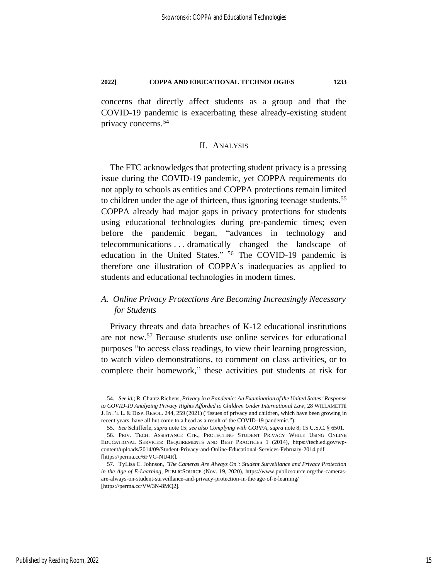concerns that directly affect students as a group and that the COVID-19 pandemic is exacerbating these already-existing student privacy concerns.<sup>54</sup>

#### <span id="page-15-0"></span>II. ANALYSIS

The FTC acknowledges that protecting student privacy is a pressing issue during the COVID-19 pandemic, yet COPPA requirements do not apply to schools as entities and COPPA protections remain limited to children under the age of thirteen, thus ignoring teenage students.<sup>55</sup> COPPA already had major gaps in privacy protections for students using educational technologies during pre-pandemic times; even before the pandemic began, "advances in technology and telecommunications . . . dramatically changed the landscape of education in the United States." <sup>56</sup> The COVID-19 pandemic is therefore one illustration of COPPA's inadequacies as applied to students and educational technologies in modern times.

# *A. Online Privacy Protections Are Becoming Increasingly Necessary for Students*

<span id="page-15-1"></span>Privacy threats and data breaches of K-12 educational institutions are not new.<sup>57</sup> Because students use online services for educational purposes "to access class readings, to view their learning progression, to watch video demonstrations, to comment on class activities, or to complete their homework," these activities put students at risk for

<sup>54</sup>*. See id.*; R. Chantz Richens, *Privacy in a Pandemic: An Examination of the United States' Response to COVID-19 Analyzing Privacy Rights Afforded to Children Under International Law*, 28 WILLAMETTE J. INT'L L. & DISP. RESOL. 244, 259 (2021) ("Issues of privacy and children, which have been growing in recent years, have all but come to a head as a result of the COVID-19 pandemic.").

<sup>55</sup>*. See* Schifferle, *supra* not[e 15;](#page-6-3) *see also Complying with COPPA, supra* not[e 8;](#page-5-1) 15 U.S.C. § 6501.

<sup>56.</sup> PRIV. TECH. ASSISTANCE CTR., PROTECTING STUDENT PRIVACY WHILE USING ONLINE EDUCATIONAL SERVICES: REQUIREMENTS AND BEST PRACTICES 1 (2014), https://tech.ed.gov/wpcontent/uploads/2014/09/Student-Privacy-and-Online-Educational-Services-February-2014.pdf [https://perma.cc/6FVG-NU4R].

<sup>57.</sup> TyLisa C. Johnson, *'The Cameras Are Always On': Student Surveillance and Privacy Protection in the Age of E-Learning*, PUBLICSOURCE (Nov. 19, 2020), https://www.publicsource.org/the-camerasare-always-on-student-surveillance-and-privacy-protection-in-the-age-of-e-learning/ [https://perma.cc/VW3N-8MQ2].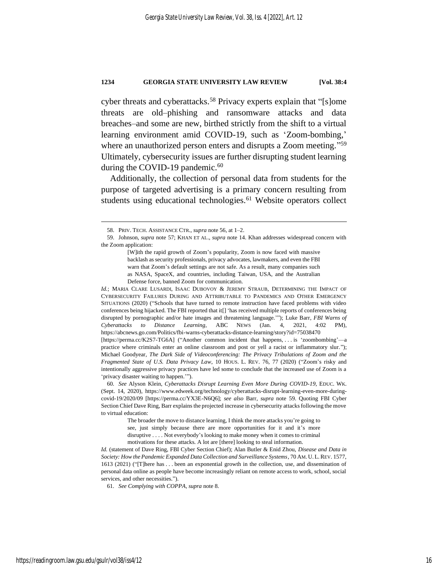cyber threats and cyberattacks.<sup>58</sup> Privacy experts explain that "[s]ome threats are old–phishing and ransomware attacks and data breaches–and some are new, birthed strictly from the shift to a virtual learning environment amid COVID-19, such as 'Zoom-bombing,' where an unauthorized person enters and disrupts a Zoom meeting."<sup>59</sup> Ultimately, cybersecurity issues are further disrupting student learning during the COVID-19 pandemic.<sup>60</sup>

<span id="page-16-1"></span><span id="page-16-0"></span>Additionally, the collection of personal data from students for the purpose of targeted advertising is a primary concern resulting from students using educational technologies.<sup>61</sup> Website operators collect

*Id.*; MARIA CLARE LUSARDI, ISAAC DUBOVOY & JEREMY STRAUB, DETERMINING THE IMPACT OF CYBERSECURITY FAILURES DURING AND ATTRIBUTABLE TO PANDEMICS AND OTHER EMERGENCY SITUATIONS (2020) ("Schools that have turned to remote instruction have faced problems with video conferences being hijacked. The FBI reported that it[] 'has received multiple reports of conferences being disrupted by pornographic and/or hate images and threatening language.'"); Luke Barr, *FBI Warns of Cyberattacks to Distance Learning*, ABC NEWS (Jan. 4, 2021, 4:02 PM), https://abcnews.go.com/Politics/fbi-warns-cyberattacks-distance-learning/story?id=75038470 [https://perma.cc/K2S7-TG6A] ("Another common incident that happens, . . . is 'zoombombing'—a practice where criminals enter an online classroom and post or yell a racist or inflammatory slur."); Michael Goodyear, *The Dark Side of Videoconferencing: The Privacy Tribulations of Zoom and the Fragmented State of U.S. Data Privacy Law*, 10 HOUS. L. REV. 76, 77 (2020) ("Zoom's risky and intentionally aggressive privacy practices have led some to conclude that the increased use of Zoom is a 'privacy disaster waiting to happen.'").

60*. See* Alyson Klein, *Cyberattacks Disrupt Learning Even More During COVID-19*, EDUC. WK. (Sept. 14, 2020), https://www.edweek.org/technology/cyberattacks-disrupt-learning-even-more-duringcovid-19/2020/09 [https://perma.cc/YX3E-N6Q6]; *see also* Barr, *supra* note [59.](#page-16-0) Quoting FBI Cyber Section Chief Dave Ring, Barr explains the projected increase in cybersecurity attacks following the move to virtual education:

> The broader the move to distance learning, I think the more attacks you're going to see, just simply because there are more opportunities for it and it's more disruptive . . . . Not everybody's looking to make money when it comes to criminal motivations for these attacks. A lot are [there] looking to steal information.

*Id.* (statement of Dave Ring, FBI Cyber Section Chief); Alan Butler & Enid Zhou, *Disease and Data in Society: How the Pandemic Expanded Data Collection and Surveillance Systems*, 70 AM. U. L.REV. 1577, 1613 (2021) ("[T]here has . . . been an exponential growth in the collection, use, and dissemination of personal data online as people have become increasingly reliant on remote access to work, school, social services, and other necessities.").

61*. See Complying with COPPA*, *supra* note [8.](#page-5-1)

<sup>58.</sup> PRIV. TECH. ASSISTANCE CTR., *supra* note [56,](#page-15-0) at 1–2.

<sup>59.</sup> Johnson, *supra* note [57;](#page-15-1) KHAN ET AL., *supra* note [14.](#page-6-2) Khan addresses widespread concern with the Zoom application:

<sup>[</sup>W]ith the rapid growth of Zoom's popularity, Zoom is now faced with massive backlash as security professionals, privacy advocates, lawmakers, and even the FBI warn that Zoom's default settings are not safe. As a result, many companies such as NASA, SpaceX, and countries, including Taiwan, USA, and the Australian Defense force, banned Zoom for communication.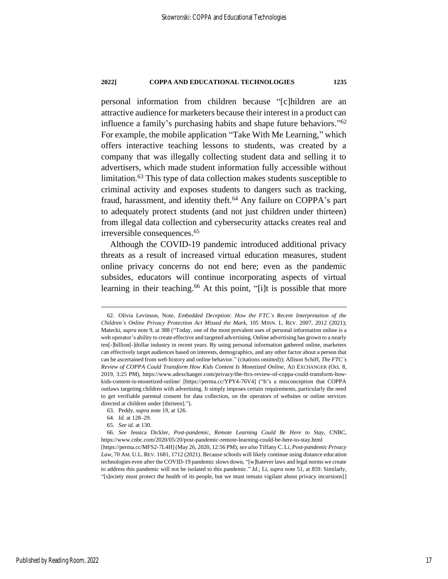personal information from children because "[c]hildren are an attractive audience for marketers because their interest in a product can influence a family's purchasing habits and shape future behaviors." 62 For example, the mobile application "Take With Me Learning," which offers interactive teaching lessons to students, was created by a company that was illegally collecting student data and selling it to advertisers, which made student information fully accessible without limitation.<sup>63</sup> This type of data collection makes students susceptible to criminal activity and exposes students to dangers such as tracking, fraud, harassment, and identity theft.<sup>64</sup> Any failure on COPPA's part to adequately protect students (and not just children under thirteen) from illegal data collection and cybersecurity attacks creates real and irreversible consequences.<sup>65</sup>

Although the COVID-19 pandemic introduced additional privacy threats as a result of increased virtual education measures, student online privacy concerns do not end here; even as the pandemic subsides, educators will continue incorporating aspects of virtual learning in their teaching.<sup>66</sup> At this point, "[i]t is possible that more

<span id="page-17-0"></span><sup>62.</sup> Olivia Levinson, Note, *Embedded Deception: How the FTC's Recent Interpretation of the Children's Online Privacy Protection Act Missed the Mark*, 105 MINN. L. REV. 2007, 2012 (2021); Matecki, *supra* not[e 9,](#page-5-2) at 388 ("Today, one of the most prevalent uses of personal information online is a web operator's ability to create effective and targeted advertising. Online advertising has grown to a nearly ten[-]billion[-]dollar industry in recent years. By using personal information gathered online, marketers can effectively target audiences based on interests, demographics, and any other factor about a person that can be ascertained from web history and online behavior." (citations omitted)); Allison Schiff, *The FTC's Review of COPPA Could Transform How Kids Content Is Monetized Online*, AD EXCHANGER (Oct. 8, 2019, 3:25 PM), https://www.adexchanger.com/privacy/the-ftcs-review-of-coppa-could-transform-howkids-content-is-monetized-online/ [https://perma.cc/YPY4-76V4] ("It's a misconception that COPPA outlaws targeting children with advertising. It simply imposes certain requirements, particularly the need to get verifiable parental consent for data collection, on the operators of websites or online services directed at children under [thirteen].").

<sup>63.</sup> Peddy, *supra* note [19,](#page-8-2) at 126.

<sup>64</sup>*. Id.* at 128–29.

<sup>65</sup>*. See id.* at 130.

<sup>66</sup>*. See* Jessica Dickler, *Post-pandemic, Remote Learning Could Be Here to Stay*, CNBC, https://www.cnbc.com/2020/05/20/post-pandemic-remote-learning-could-be-here-to-stay.html [https://perma.cc/MFS2-7L4H] (May 26, 2020, 12:56 PM); *see also* Tiffany C. Li, *Post-pandemic Privacy Law*, 70 AM. U.L. REV. 1681, 1712 (2021). Because schools will likely continue using distance education technologies even after the COVID-19 pandemic slows down, "[w]hatever laws and legal norms we create to address this pandemic will not be isolated to this pandemic." *Id.*; Li, *supra* not[e 51,](#page-14-0) at 859. Similarly, "[s]ociety must protect the health of its people, but we must remain vigilant about privacy incursions[]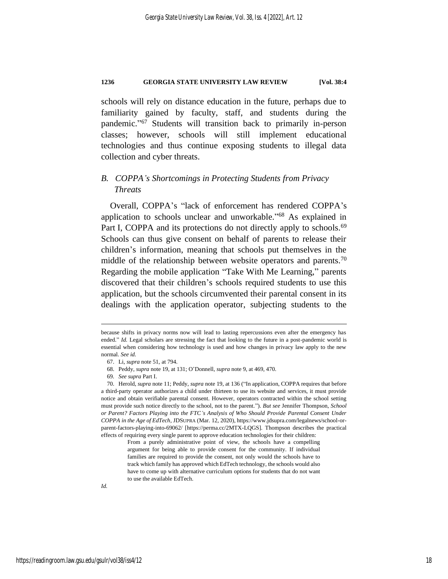schools will rely on distance education in the future, perhaps due to familiarity gained by faculty, staff, and students during the pandemic." <sup>67</sup> Students will transition back to primarily in-person classes; however, schools will still implement educational technologies and thus continue exposing students to illegal data collection and cyber threats.

# *B. COPPA's Shortcomings in Protecting Students from Privacy Threats*

<span id="page-18-0"></span>Overall, COPPA's "lack of enforcement has rendered COPPA's application to schools unclear and unworkable."<sup>68</sup> As explained in Part I, COPPA and its protections do not directly apply to schools.<sup>69</sup> Schools can thus give consent on behalf of parents to release their children's information, meaning that schools put themselves in the middle of the relationship between website operators and parents.<sup>70</sup> Regarding the mobile application "Take With Me Learning," parents discovered that their children's schools required students to use this application, but the schools circumvented their parental consent in its dealings with the application operator, subjecting students to the

because shifts in privacy norms now will lead to lasting repercussions even after the emergency has ended." *Id.* Legal scholars are stressing the fact that looking to the future in a post-pandemic world is essential when considering how technology is used and how changes in privacy law apply to the new normal. *See id.*

<sup>67.</sup> Li, *supra* note [51,](#page-14-0) at 794.

<sup>68.</sup> Peddy, *supra* note [19,](#page-8-2) at 131; O'Donnell, *supra* not[e 9,](#page-5-2) at 469, 470.

<sup>69</sup>*. See supra* Part I.

<sup>70.</sup> Herold, *supra* not[e 11;](#page-6-0) Peddy, *supra* not[e 19,](#page-8-2) at 136 ("In application, COPPA requires that before a third-party operator authorizes a child under thirteen to use its website and services, it must provide notice and obtain verifiable parental consent. However, operators contracted within the school setting must provide such notice directly to the school, not to the parent."). *But see* Jennifer Thompson, *School or Parent? Factors Playing into the FTC's Analysis of Who Should Provide Parental Consent Under COPPA in the Age of EdTech*, JDSUPRA (Mar. 12, 2020), https://www.jdsupra.com/legalnews/school-orparent-factors-playing-into-69062/ [https://perma.cc/2MTX-LQGS]. Thompson describes the practical effects of requiring every single parent to approve education technologies for their children:

From a purely administrative point of view, the schools have a compelling argument for being able to provide consent for the community. If individual families are required to provide the consent, not only would the schools have to track which family has approved which EdTech technology, the schools would also have to come up with alternative curriculum options for students that do not want to use the available EdTech.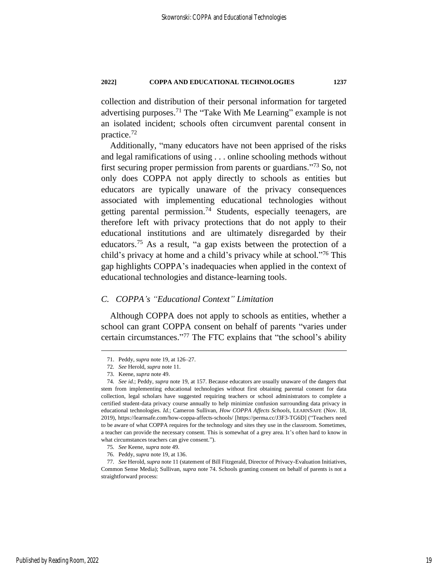collection and distribution of their personal information for targeted advertising purposes.<sup>71</sup> The "Take With Me Learning" example is not an isolated incident; schools often circumvent parental consent in practice.<sup>72</sup>

<span id="page-19-0"></span>Additionally, "many educators have not been apprised of the risks and legal ramifications of using . . . online schooling methods without first securing proper permission from parents or guardians."<sup>73</sup> So, not only does COPPA not apply directly to schools as entities but educators are typically unaware of the privacy consequences associated with implementing educational technologies without getting parental permission.<sup>74</sup> Students, especially teenagers, are therefore left with privacy protections that do not apply to their educational institutions and are ultimately disregarded by their educators.<sup>75</sup> As a result, "a gap exists between the protection of a child's privacy at home and a child's privacy while at school." <sup>76</sup> This gap highlights COPPA's inadequacies when applied in the context of educational technologies and distance-learning tools.

## *C. COPPA's "Educational Context" Limitation*

Although COPPA does not apply to schools as entities, whether a school can grant COPPA consent on behalf of parents "varies under certain circumstances." <sup>77</sup> The FTC explains that "the school's ability

<sup>71.</sup> Peddy, *supra* note [19,](#page-8-2) at 126–27.

<sup>72</sup>*. See* Herold, *supra* not[e 11.](#page-6-0)

<sup>73.</sup> Keene, *supra* not[e 49.](#page-14-1)

<sup>74</sup>*. See id.*; Peddy, *supra* not[e 19,](#page-8-2) at 157. Because educators are usually unaware of the dangers that stem from implementing educational technologies without first obtaining parental consent for data collection, legal scholars have suggested requiring teachers or school administrators to complete a certified student-data privacy course annually to help minimize confusion surrounding data privacy in educational technologies. *Id.*; Cameron Sullivan, *How COPPA Affects Schools*, LEARNSAFE (Nov. 18, 2019), https://learnsafe.com/how-coppa-affects-schools/ [https://perma.cc/J3F3-TG6D] ("Teachers need to be aware of what COPPA requires for the technology and sites they use in the classroom. Sometimes, a teacher can provide the necessary consent. This is somewhat of a grey area. It's often hard to know in what circumstances teachers can give consent.").

<sup>75</sup>*. See* Keene, *supra* not[e 49.](#page-14-1)

<sup>76.</sup> Peddy, *supra* note [19,](#page-8-2) at 136.

<sup>77</sup>*. See* Herold, *supra* not[e 11](#page-6-0) (statement of Bill Fitzgerald, Director of Privacy-Evaluation Initiatives, Common Sense Media); Sullivan, *supra* note [74.](#page-19-0) Schools granting consent on behalf of parents is not a straightforward process: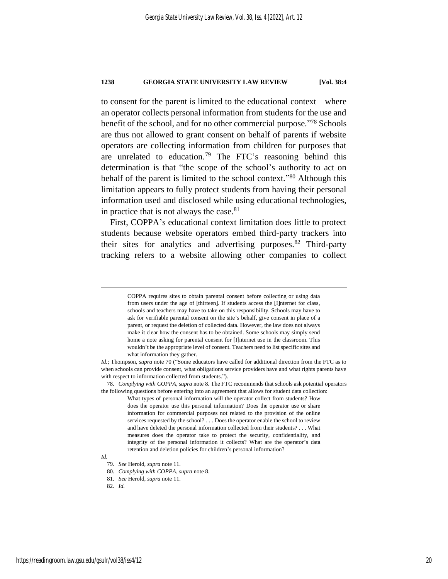to consent for the parent is limited to the educational context—where an operator collects personal information from students for the use and benefit of the school, and for no other commercial purpose." <sup>78</sup> Schools are thus not allowed to grant consent on behalf of parents if website operators are collecting information from children for purposes that are unrelated to education.<sup>79</sup> The FTC's reasoning behind this determination is that "the scope of the school's authority to act on behalf of the parent is limited to the school context."<sup>80</sup> Although this limitation appears to fully protect students from having their personal information used and disclosed while using educational technologies, in practice that is not always the case. $81$ 

First, COPPA's educational context limitation does little to protect students because website operators embed third-party trackers into their sites for analytics and advertising purposes.<sup>82</sup> Third-party tracking refers to a website allowing other companies to collect

78*. Complying with COPPA*, *supra* not[e 8.](#page-5-1) The FTC recommends that schools ask potential operators the following questions before entering into an agreement that allows for student data collection:

*Id.*

COPPA requires sites to obtain parental consent before collecting or using data from users under the age of [thirteen]. If students access the [I]nternet for class, schools and teachers may have to take on this responsibility. Schools may have to ask for verifiable parental consent on the site's behalf, give consent in place of a parent, or request the deletion of collected data. However, the law does not always make it clear how the consent has to be obtained. Some schools may simply send home a note asking for parental consent for [I]nternet use in the classroom. This wouldn't be the appropriate level of consent. Teachers need to list specific sites and what information they gather.

*Id.*; Thompson, *supra* not[e 70](#page-18-0) ("Some educators have called for additional direction from the FTC as to when schools can provide consent, what obligations service providers have and what rights parents have with respect to information collected from students.").

What types of personal information will the operator collect from students? How does the operator use this personal information? Does the operator use or share information for commercial purposes not related to the provision of the online services requested by the school? . . . Does the operator enable the school to review and have deleted the personal information collected from their students? . . . What measures does the operator take to protect the security, confidentiality, and integrity of the personal information it collects? What are the operator's data retention and deletion policies for children's personal information?

<sup>79</sup>*. See* Herold, *supra* not[e 11.](#page-6-0)

<sup>80</sup>*. Complying with COPPA*, *supra* not[e 8.](#page-5-1)

<sup>81</sup>*. See* Herold, *supra* not[e 11.](#page-6-0)

<sup>82</sup>*. Id.*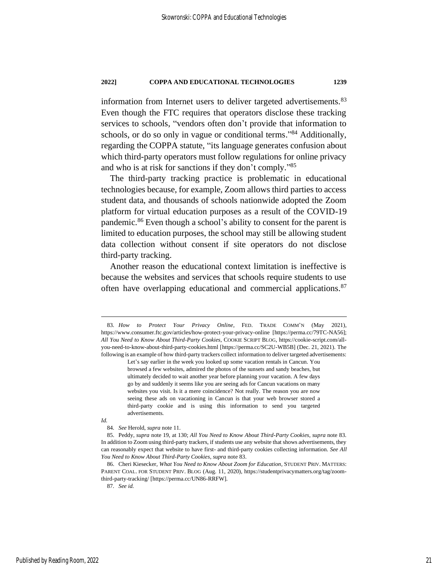<span id="page-21-0"></span>information from Internet users to deliver targeted advertisements.<sup>83</sup> Even though the FTC requires that operators disclose these tracking services to schools, "vendors often don't provide that information to schools, or do so only in vague or conditional terms."<sup>84</sup> Additionally, regarding the COPPA statute, "its language generates confusion about which third-party operators must follow regulations for online privacy and who is at risk for sanctions if they don't comply." 85

<span id="page-21-1"></span>The third-party tracking practice is problematic in educational technologies because, for example, Zoom allows third parties to access student data, and thousands of schools nationwide adopted the Zoom platform for virtual education purposes as a result of the COVID-19 pandemic.<sup>86</sup> Even though a school's ability to consent for the parent is limited to education purposes, the school may still be allowing student data collection without consent if site operators do not disclose third-party tracking.

Another reason the educational context limitation is ineffective is because the websites and services that schools require students to use often have overlapping educational and commercial applications.<sup>87</sup>

*Id.*

<sup>83</sup>*. How to Protect Your Privacy Online*, FED. TRADE COMM'N (May 2021), https://www.consumer.ftc.gov/articles/how-protect-your-privacy-online [https://perma.cc/79TC-NA56]; *All You Need to Know About Third-Party Cookies*, COOKIE SCRIPT BLOG, https://cookie-script.com/allyou-need-to-know-about-third-party-cookies.html [https://perma.cc/SC2U-WB5B] (Dec. 21, 2021). The following is an example of how third-party trackers collect information to deliver targeted advertisements:

Let's say earlier in the week you looked up some vacation rentals in Cancun. You browsed a few websites, admired the photos of the sunsets and sandy beaches, but ultimately decided to wait another year before planning your vacation. A few days go by and suddenly it seems like you are seeing ads for Cancun vacations on many websites you visit. Is it a mere coincidence? Not really. The reason you are now seeing these ads on vacationing in Cancun is that your web browser stored a third-party cookie and is using this information to send you targeted advertisements.

<sup>84</sup>*. See* Herold, *supra* not[e 11.](#page-6-0)

<sup>85.</sup> Peddy, *supra* note [19,](#page-8-2) at 130; *All You Need to Know About Third-Party Cookies*, *supra* note [83.](#page-21-0)  In addition to Zoom using third-party trackers, if students use any website that shows advertisements, they can reasonably expect that website to have first- and third-party cookies collecting information. *See All You Need to Know About Third-Party Cookies*, *supra* not[e 83.](#page-21-0)

<sup>86.</sup> Cheri Kiesecker, *What You Need to Know About Zoom for Education*, STUDENT PRIV. MATTERS: PARENT COAL. FOR STUDENT PRIV. BLOG (Aug. 11, 2020), https://studentprivacymatters.org/tag/zoomthird-party-tracking/ [https://perma.cc/UN86-RRFW].

<sup>87</sup>*. See id.*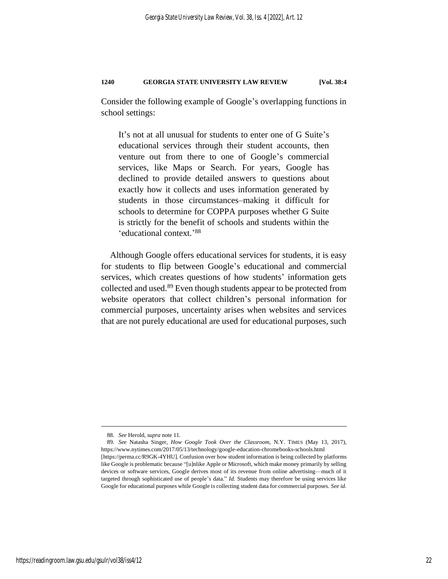Consider the following example of Google's overlapping functions in school settings:

It's not at all unusual for students to enter one of G Suite's educational services through their student accounts, then venture out from there to one of Google's commercial services, like Maps or Search. For years, Google has declined to provide detailed answers to questions about exactly how it collects and uses information generated by students in those circumstances–making it difficult for schools to determine for COPPA purposes whether G Suite is strictly for the benefit of schools and students within the 'educational context.' 88

<span id="page-22-0"></span>Although Google offers educational services for students, it is easy for students to flip between Google's educational and commercial services, which creates questions of how students' information gets collected and used.<sup>89</sup> Even though students appear to be protected from website operators that collect children's personal information for commercial purposes, uncertainty arises when websites and services that are not purely educational are used for educational purposes, such

<sup>88</sup>*. See* Herold, *supra* not[e 11](#page-6-0)*.*

<sup>89</sup>*. See* Natasha Singer, *How Google Took Over the Classroom*, N.Y. TIMES (May 13, 2017), https://www.nytimes.com/2017/05/13/technology/google-education-chromebooks-schools.html [https://perma.cc/R9GK-4YHU]*.* Confusion over how student information is being collected by platforms like Google is problematic because "[u]nlike Apple or Microsoft, which make money primarily by selling devices or software services, Google derives most of its revenue from online advertising—much of it targeted through sophisticated use of people's data." *Id.* Students may therefore be using services like Google for educational purposes while Google is collecting student data for commercial purposes. *See id.*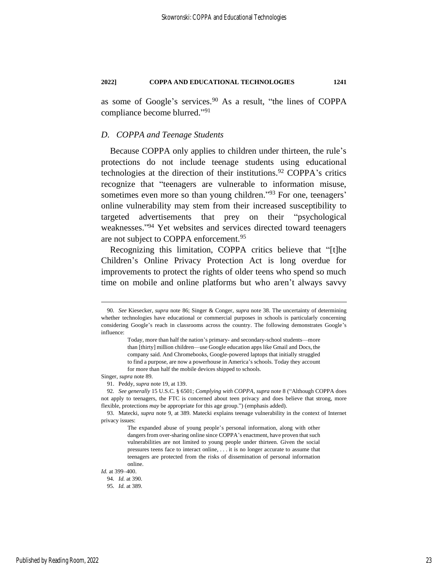as some of Google's services.<sup>90</sup> As a result, "the lines of COPPA compliance become blurred." 91

#### *D. COPPA and Teenage Students*

Because COPPA only applies to children under thirteen, the rule's protections do not include teenage students using educational technologies at the direction of their institutions.<sup>92</sup> COPPA's critics recognize that "teenagers are vulnerable to information misuse, sometimes even more so than young children."<sup>93</sup> For one, teenagers' online vulnerability may stem from their increased susceptibility to targeted advertisements that prey on their "psychological weaknesses." <sup>94</sup> Yet websites and services directed toward teenagers are not subject to COPPA enforcement.<sup>95</sup>

Recognizing this limitation, COPPA critics believe that "[t]he Children's Online Privacy Protection Act is long overdue for improvements to protect the rights of older teens who spend so much time on mobile and online platforms but who aren't always savvy

Singer, *supra* not[e 89.](#page-22-0)

*Id.* at 399–400.

<sup>90</sup>*. See* Kiesecker, *supra* note [86;](#page-21-1) Singer & Conger, *supra* not[e 38.](#page-11-1) The uncertainty of determining whether technologies have educational or commercial purposes in schools is particularly concerning considering Google's reach in classrooms across the country. The following demonstrates Google's influence:

Today, more than half the nation's primary- and secondary-school students—more than [thirty] million children—use Google education apps like Gmail and Docs, the company said. And Chromebooks, Google-powered laptops that initially struggled to find a purpose, are now a powerhouse in America's schools. Today they account for more than half the mobile devices shipped to schools.

<sup>91.</sup> Peddy, *supra* note [19,](#page-8-2) at 139.

<sup>92</sup>*. See generally* 15 U.S.C. § 6501; *Complying with COPPA*, *supra* not[e 8](#page-5-1) ("Although COPPA does not apply to teenagers, the FTC is concerned about teen privacy and does believe that strong, more flexible, protections *may* be appropriate for this age group.") (emphasis added).

<sup>93.</sup> Matecki, *supra* note [9,](#page-5-2) at 389. Matecki explains teenage vulnerability in the context of Internet privacy issues:

The expanded abuse of young people's personal information, along with other dangers from over-sharing online since COPPA's enactment, have proven that such vulnerabilities are not limited to young people under thirteen. Given the social pressures teens face to interact online, . . . it is no longer accurate to assume that teenagers are protected from the risks of dissemination of personal information online.

<sup>94</sup>*. Id.* at 390.

<sup>95</sup>*. Id.* at 389.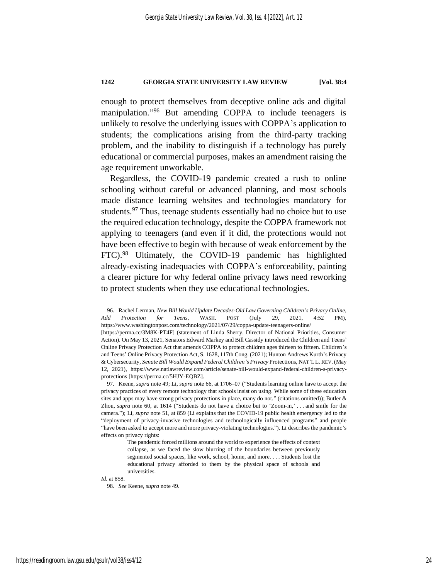enough to protect themselves from deceptive online ads and digital manipulation."<sup>96</sup> But amending COPPA to include teenagers is unlikely to resolve the underlying issues with COPPA's application to students; the complications arising from the third-party tracking problem, and the inability to distinguish if a technology has purely educational or commercial purposes, makes an amendment raising the age requirement unworkable.

Regardless, the COVID-19 pandemic created a rush to online schooling without careful or advanced planning, and most schools made distance learning websites and technologies mandatory for students.<sup>97</sup> Thus, teenage students essentially had no choice but to use the required education technology, despite the COPPA framework not applying to teenagers (and even if it did, the protections would not have been effective to begin with because of weak enforcement by the FTC).<sup>98</sup> Ultimately, the COVID-19 pandemic has highlighted already-existing inadequacies with COPPA's enforceability, painting a clearer picture for why federal online privacy laws need reworking to protect students when they use educational technologies.

*Id.* at 858.

<sup>96.</sup> Rachel Lerman, *New Bill Would Update Decades-Old Law Governing Children's Privacy Online, Add Protection for Teens*, WASH. POST (July 29, 2021, 4:52 PM), https://www.washingtonpost.com/technology/2021/07/29/coppa-update-teenagers-online/ [https://perma.cc/3M8K-PT4F] (statement of Linda Sherry, Director of National Priorities, Consumer

Action). On May 13, 2021, Senators Edward Markey and Bill Cassidy introduced the Children and Teens' Online Privacy Protection Act that amends COPPA to protect children ages thirteen to fifteen. Children's and Teens' Online Privacy Protection Act, S. 1628, 117th Cong. (2021); Hunton Andrews Kurth's Privacy & Cybersecurity, *Senate Bill Would Expand Federal Children's Privacy* Protections, NAT'L L. REV. (May 12, 2021), https://www.natlawreview.com/article/senate-bill-would-expand-federal-children-s-privacyprotections [https://perma.cc/5HJY-EQBZ].

<sup>97.</sup> Keene, *supra* not[e 49;](#page-14-1) Li, *supra* not[e 66,](#page-17-0) at 1706–07 ("Students learning online have to accept the privacy practices of every remote technology that schools insist on using. While some of these education sites and apps may have strong privacy protections in place, many do not." (citations omitted)); Butler & Zhou, *supra* note [60,](#page-16-1) at 1614 ("Students do not have a choice but to 'Zoom-in,' . . . and smile for the camera."); Li, *supra* note [51,](#page-14-0) at 859 (Li explains that the COVID-19 public health emergency led to the "deployment of privacy-invasive technologies and technologically influenced programs" and people "have been asked to accept more and more privacy-violating technologies."). Li describes the pandemic's effects on privacy rights:

The pandemic forced millions around the world to experience the effects of context collapse, as we faced the slow blurring of the boundaries between previously segmented social spaces, like work, school, home, and more. . . . Students lost the educational privacy afforded to them by the physical space of schools and universities.

<sup>98</sup>*. See* Keene, *supra* not[e 49.](#page-14-1)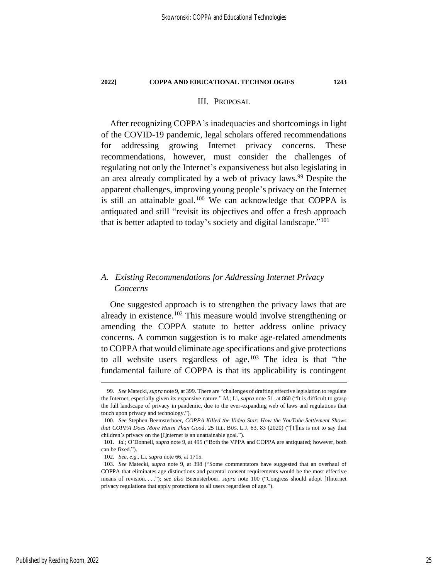# <span id="page-25-0"></span>III. PROPOSAL

After recognizing COPPA's inadequacies and shortcomings in light of the COVID-19 pandemic, legal scholars offered recommendations for addressing growing Internet privacy concerns. These recommendations, however, must consider the challenges of regulating not only the Internet's expansiveness but also legislating in an area already complicated by a web of privacy laws.<sup>99</sup> Despite the apparent challenges, improving young people's privacy on the Internet is still an attainable goal.<sup>100</sup> We can acknowledge that COPPA is antiquated and still "revisit its objectives and offer a fresh approach that is better adapted to today's society and digital landscape."<sup>101</sup>

# *A. Existing Recommendations for Addressing Internet Privacy Concerns*

One suggested approach is to strengthen the privacy laws that are already in existence.<sup>102</sup> This measure would involve strengthening or amending the COPPA statute to better address online privacy concerns. A common suggestion is to make age-related amendments to COPPA that would eliminate age specifications and give protections to all website users regardless of age.<sup>103</sup> The idea is that "the fundamental failure of COPPA is that its applicability is contingent

<sup>99</sup>*. See* Matecki, *supra* not[e 9,](#page-5-2) at 399. There are "challenges of drafting effective legislation to regulate the Internet, especially given its expansive nature." *Id.*; Li, *supra* not[e 51,](#page-14-0) at 860 ("It is difficult to grasp the full landscape of privacy in pandemic, due to the ever-expanding web of laws and regulations that touch upon privacy and technology.")*.*

<sup>100</sup>*. See* Stephen Beemsterboer, *COPPA Killed the Video Star: How the YouTube Settlement Shows that COPPA Does More Harm Than Good*, 25 ILL. BUS. L.J. 63, 83 (2020) ("[T]his is not to say that children's privacy on the [I]nternet is an unattainable goal.").

<sup>101</sup>*. Id.*; O'Donnell, *supra* not[e 9,](#page-5-2) at 495 ("Both the VPPA and COPPA are antiquated; however, both can be fixed.").

<sup>102</sup>*. See, e.g.*, Li, *supra* note [66,](#page-17-0) at 1715.

<sup>103</sup>*. See* Matecki, *supra* note [9,](#page-5-2) at 398 ("Some commentators have suggested that an overhaul of COPPA that eliminates age distinctions and parental consent requirements would be the most effective means of revision. . . ."); *see also* Beemsterboer, *supra* note [100](#page-25-0) ("Congress should adopt [I]nternet privacy regulations that apply protections to all users regardless of age.").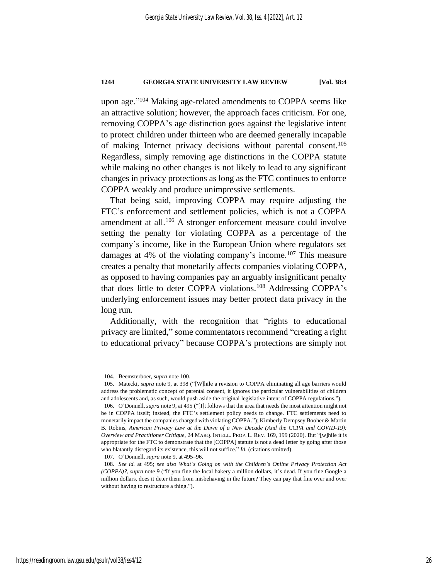upon age." <sup>104</sup> Making age-related amendments to COPPA seems like an attractive solution; however, the approach faces criticism. For one, removing COPPA's age distinction goes against the legislative intent to protect children under thirteen who are deemed generally incapable of making Internet privacy decisions without parental consent.<sup>105</sup> Regardless, simply removing age distinctions in the COPPA statute while making no other changes is not likely to lead to any significant changes in privacy protections as long as the FTC continues to enforce COPPA weakly and produce unimpressive settlements.

That being said, improving COPPA may require adjusting the FTC's enforcement and settlement policies, which is not a COPPA amendment at all.<sup>106</sup> A stronger enforcement measure could involve setting the penalty for violating COPPA as a percentage of the company's income, like in the European Union where regulators set damages at 4% of the violating company's income. <sup>107</sup> This measure creates a penalty that monetarily affects companies violating COPPA, as opposed to having companies pay an arguably insignificant penalty that does little to deter COPPA violations.<sup>108</sup> Addressing COPPA's underlying enforcement issues may better protect data privacy in the long run.

Additionally, with the recognition that "rights to educational privacy are limited," some commentators recommend "creating a right to educational privacy" because COPPA's protections are simply not

<sup>104.</sup> Beemsterboer, *supra* not[e 100.](#page-25-0)

<sup>105.</sup> Matecki, *supra* note [9,](#page-5-2) at 398 ("[W]hile a revision to COPPA eliminating all age barriers would address the problematic concept of parental consent, it ignores the particular vulnerabilities of children and adolescents and, as such, would push aside the original legislative intent of COPPA regulations.")*.*

<sup>106.</sup> O'Donnell, *supra* note [9,](#page-5-2) at 495 ("[I]t follows that the area that needs the most attention might not be in COPPA itself; instead, the FTC's settlement policy needs to change. FTC settlements need to monetarily impact the companies charged with violating COPPA."); Kimberly Dempsey Booher & Martin B. Robins, *American Privacy Law at the Dawn of a New Decade (And the CCPA and COVID-19): Overview and Practitioner Critique*, 24 MARQ. INTELL. PROP. L. REV. 169, 199 (2020). But "[w]hile it is appropriate for the FTC to demonstrate that the [COPPA] statute is not a dead letter by going after those who blatantly disregard its existence, this will not suffice." *Id.* (citations omitted).

<sup>107.</sup> O'Donnell, *supra* not[e 9,](#page-5-2) at 495–96.

<sup>108</sup>*. See id.* at 495; *see also What's Going on with the Children's Online Privacy Protection Act (COPPA)?*, *supra* note [9](#page-5-2) ("If you fine the local bakery a million dollars, it's dead. If you fine Google a million dollars, does it deter them from misbehaving in the future? They can pay that fine over and over without having to restructure a thing.").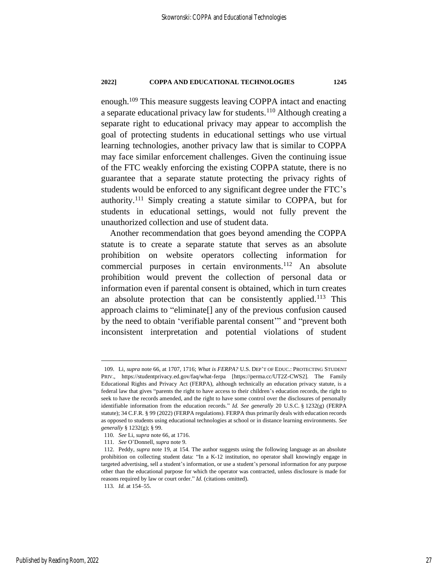enough.<sup>109</sup> This measure suggests leaving COPPA intact and enacting a separate educational privacy law for students.<sup>110</sup> Although creating a separate right to educational privacy may appear to accomplish the goal of protecting students in educational settings who use virtual learning technologies, another privacy law that is similar to COPPA may face similar enforcement challenges. Given the continuing issue of the FTC weakly enforcing the existing COPPA statute, there is no guarantee that a separate statute protecting the privacy rights of students would be enforced to any significant degree under the FTC's authority.<sup>111</sup> Simply creating a statute similar to COPPA, but for students in educational settings, would not fully prevent the unauthorized collection and use of student data.

Another recommendation that goes beyond amending the COPPA statute is to create a separate statute that serves as an absolute prohibition on website operators collecting information for commercial purposes in certain environments.<sup>112</sup> An absolute prohibition would prevent the collection of personal data or information even if parental consent is obtained, which in turn creates an absolute protection that can be consistently applied.<sup>113</sup> This approach claims to "eliminate[] any of the previous confusion caused by the need to obtain 'verifiable parental consent'" and "prevent both inconsistent interpretation and potential violations of student

<sup>109.</sup> Li, *supra* not[e 66,](#page-17-0) at 1707, 1716; *What is FERPA?* U.S. DEP'T OF EDUC.: PROTECTING STUDENT PRIV., https://studentprivacy.ed.gov/faq/what-ferpa [https://perma.cc/UT2Z-CWS2]. The Family Educational Rights and Privacy Act (FERPA), although technically an education privacy statute, is a federal law that gives "parents the right to have access to their children's education records, the right to seek to have the records amended, and the right to have some control over the disclosures of personally identifiable information from the education records." *Id. See generally* 20 U.S.C. § 1232(g) (FERPA statute); 34 C.F.R. § 99 (2022) (FERPA regulations). FERPA thus primarily deals with education records as opposed to students using educational technologies at school or in distance learning environments. *See generally* § 1232(g); § 99.

<sup>110</sup>*. See* Li, *supra* not[e 66,](#page-17-0) at 1716.

<sup>111</sup>*. See* O'Donnell, *supra* not[e 9.](#page-5-2)

<sup>112.</sup> Peddy, *supra* note [19,](#page-8-2) at 154. The author suggests using the following language as an absolute prohibition on collecting student data: "In a K-12 institution, no operator shall knowingly engage in targeted advertising, sell a student's information, or use a student's personal information for any purpose other than the educational purpose for which the operator was contracted, unless disclosure is made for reasons required by law or court order." *Id.* (citations omitted).

<sup>113</sup>*. Id.* at 154–55.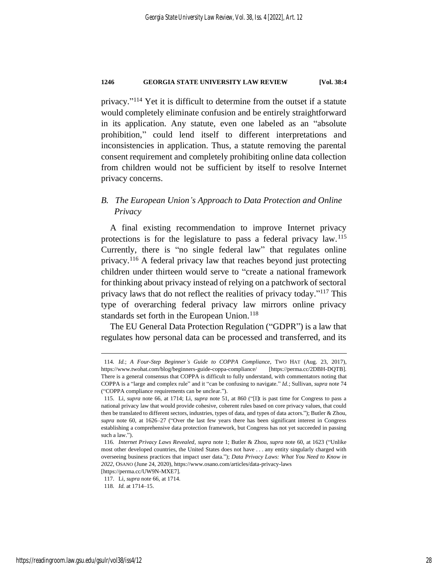privacy." <sup>114</sup> Yet it is difficult to determine from the outset if a statute would completely eliminate confusion and be entirely straightforward in its application. Any statute, even one labeled as an "absolute prohibition," could lend itself to different interpretations and inconsistencies in application. Thus, a statute removing the parental consent requirement and completely prohibiting online data collection from children would not be sufficient by itself to resolve Internet privacy concerns.

# *B. The European Union's Approach to Data Protection and Online Privacy*

<span id="page-28-0"></span>A final existing recommendation to improve Internet privacy protections is for the legislature to pass a federal privacy law.<sup>115</sup> Currently, there is "no single federal law" that regulates online privacy.<sup>116</sup> A federal privacy law that reaches beyond just protecting children under thirteen would serve to "create a national framework for thinking about privacy instead of relying on a patchwork of sectoral privacy laws that do not reflect the realities of privacy today."<sup>117</sup> This type of overarching federal privacy law mirrors online privacy standards set forth in the European Union.<sup>118</sup>

The EU General Data Protection Regulation ("GDPR") is a law that regulates how personal data can be processed and transferred, and its

<sup>114</sup>*. Id.*; *A Four-Step Beginner's Guide to COPPA Compliance*, TWO HAT (Aug. 23, 2017), https://www.twohat.com/blog/beginners-guide-coppa-compliance/ [https://perma.cc/2DBH-DQTB]. There is a general consensus that COPPA is difficult to fully understand, with commentators noting that COPPA is a "large and complex rule" and it "can be confusing to navigate." *Id.*; Sullivan, *supra* note [74](#page-19-0) ("COPPA compliance requirements can be unclear.").

<sup>115.</sup> Li, *supra* note [66,](#page-17-0) at 1714; Li, *supra* note [51,](#page-14-0) at 860 ("[I]t is past time for Congress to pass a national privacy law that would provide cohesive, coherent rules based on core privacy values, that could then be translated to different sectors, industries, types of data, and types of data actors."); Butler & Zhou, *supra* note [60,](#page-16-1) at 1626–27 ("Over the last few years there has been significant interest in Congress establishing a comprehensive data protection framework, but Congress has not yet succeeded in passing such a law.").

<sup>116</sup>*. Internet Privacy Laws Revealed*, *supra* not[e 1;](#page-4-0) Butler & Zhou, *supra* note [60,](#page-16-1) at 1623 ("Unlike most other developed countries, the United States does not have . . . any entity singularly charged with overseeing business practices that impact user data."); *Data Privacy Laws: What You Need to Know in 2022*, OSANO (June 24, 2020), https://www.osano.com/articles/data-privacy-laws

<sup>[</sup>https://perma.cc/UW9N-MXE7]. 117. Li, *supra* note [66,](#page-17-0) at 1714.

<sup>118</sup>*. Id.* at 1714–15.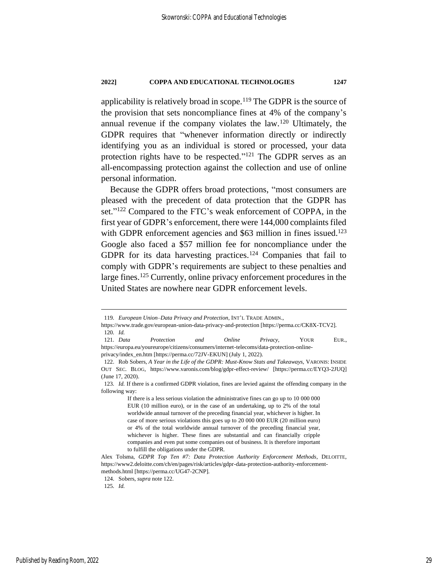applicability is relatively broad in scope.<sup>119</sup> The GDPR is the source of the provision that sets noncompliance fines at 4% of the company's annual revenue if the company violates the law.<sup>120</sup> Ultimately, the GDPR requires that "whenever information directly or indirectly identifying you as an individual is stored or processed, your data protection rights have to be respected."<sup>121</sup> The GDPR serves as an all-encompassing protection against the collection and use of online personal information.

<span id="page-29-1"></span><span id="page-29-0"></span>Because the GDPR offers broad protections, "most consumers are pleased with the precedent of data protection that the GDPR has set." <sup>122</sup> Compared to the FTC's weak enforcement of COPPA, in the first year of GDPR's enforcement, there were 144,000 complaints filed with GDPR enforcement agencies and \$63 million in fines issued.<sup>123</sup> Google also faced a \$57 million fee for noncompliance under the GDPR for its data harvesting practices.<sup>124</sup> Companies that fail to comply with GDPR's requirements are subject to these penalties and large fines.<sup>125</sup> Currently, online privacy enforcement procedures in the United States are nowhere near GDPR enforcement levels.

<sup>119</sup>*. European Union–Data Privacy and Protection*, INT'L TRADE ADMIN.,

https://www.trade.gov/european-union-data-privacy-and-protection [https://perma.cc/CK8X-TCV2]. 120*. Id.*

<sup>121</sup>*. Data Protection and Online Privacy*, YOUR EUR., https://europa.eu/youreurope/citizens/consumers/internet-telecoms/data-protection-onlineprivacy/index\_en.htm [https://perma.cc/72JV-EKUN] (July 1, 2022).

<sup>122.</sup> Rob Sobers, *A Year in the Life of the GDPR: Must-Know Stats and Takeaways*, VARONIS: INSIDE OUT SEC. BLOG, https://www.varonis.com/blog/gdpr-effect-review/ [https://perma.cc/EYQ3-2JUQ] (June 17, 2020).

<sup>123</sup>*. Id.* If there is a confirmed GDPR violation, fines are levied against the offending company in the following way:

If there is a less serious violation the administrative fines can go up to 10 000 000 EUR (10 million euro), or in the case of an undertaking, up to 2% of the total worldwide annual turnover of the preceding financial year, whichever is higher. In case of more serious violations this goes up to 20 000 000 EUR (20 million euro) or 4% of the total worldwide annual turnover of the preceding financial year, whichever is higher. These fines are substantial and can financially cripple companies and even put some companies out of business. It is therefore important to fulfill the obligations under the GDPR.

Alex Tolsma, *GDPR Top Ten #7: Data Protection Authority Enforcement Methods*, DELOITTE, https://www2.deloitte.com/ch/en/pages/risk/articles/gdpr-data-protection-authority-enforcementmethods.html [https://perma.cc/UG47-2CNP].

<sup>124.</sup> Sobers, *supra* note [122.](#page-29-0)

<sup>125</sup>*. Id.*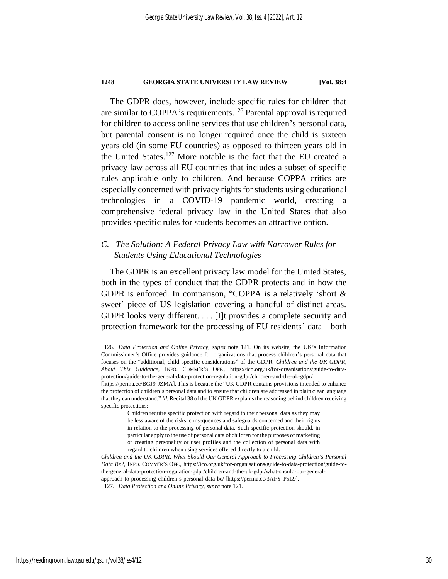The GDPR does, however, include specific rules for children that are similar to COPPA's requirements.<sup>126</sup> Parental approval is required for children to access online services that use children's personal data, but parental consent is no longer required once the child is sixteen years old (in some EU countries) as opposed to thirteen years old in the United States.<sup>127</sup> More notable is the fact that the EU created a privacy law across all EU countries that includes a subset of specific rules applicable only to children. And because COPPA critics are especially concerned with privacy rights for students using educational technologies in a COVID-19 pandemic world, creating a comprehensive federal privacy law in the United States that also provides specific rules for students becomes an attractive option.

# *C. The Solution: A Federal Privacy Law with Narrower Rules for Students Using Educational Technologies*

The GDPR is an excellent privacy law model for the United States, both in the types of conduct that the GDPR protects and in how the GDPR is enforced. In comparison, "COPPA is a relatively 'short & sweet' piece of US legislation covering a handful of distinct areas. GDPR looks very different. . . . [I]t provides a complete security and protection framework for the processing of EU residents' data—both

<sup>126</sup>*. Data Protection and Online Privacy*, *supra* note [121](#page-29-1)*.* On its website, the UK's Information Commissioner's Office provides guidance for organizations that process children's personal data that focuses on the "additional, child specific considerations" of the GDPR. *Children and the UK GDPR, About This Guidance*, INFO. COMM'R'S OFF., https://ico.org.uk/for-organisations/guide-to-dataprotection/guide-to-the-general-data-protection-regulation-gdpr/children-and-the-uk-gdpr/ [https://perma.cc/BGJ9-JZMA]. This is because the "UK GDPR contains provisions intended to enhance

the protection of children's personal data and to ensure that children are addressed in plain clear language that they can understand." *Id.* Recital 38 of the UK GDPR explains the reasoning behind children receiving specific protections:

Children require specific protection with regard to their personal data as they may be less aware of the risks, consequences and safeguards concerned and their rights in relation to the processing of personal data. Such specific protection should, in particular apply to the use of personal data of children for the purposes of marketing or creating personality or user profiles and the collection of personal data with regard to children when using services offered directly to a child.

*Children and the UK GDPR*, *What Should Our General Approach to Processing Children's Personal Data Be?*, INFO. COMM'R'S OFF., https://ico.org.uk/for-organisations/guide-to-data-protection/guide-tothe-general-data-protection-regulation-gdpr/children-and-the-uk-gdpr/what-should-our-generalapproach-to-processing-children-s-personal-data-be/ [https://perma.cc/3AFY-P5L9].

<sup>127</sup>*. Data Protection and Online Privacy*, *supra* not[e 121.](#page-29-1)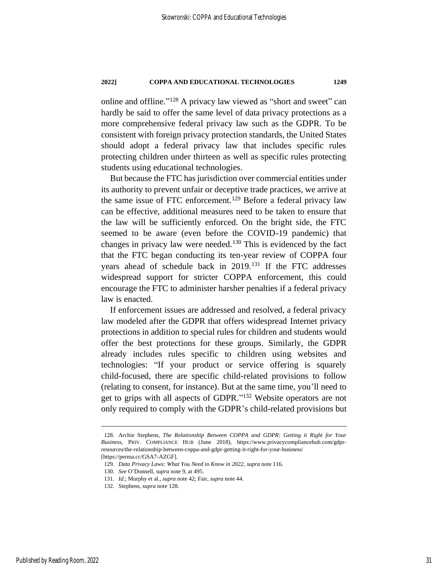<span id="page-31-0"></span>online and offline." <sup>128</sup> A privacy law viewed as "short and sweet" can hardly be said to offer the same level of data privacy protections as a more comprehensive federal privacy law such as the GDPR. To be consistent with foreign privacy protection standards, the United States should adopt a federal privacy law that includes specific rules protecting children under thirteen as well as specific rules protecting students using educational technologies.

But because the FTC has jurisdiction over commercial entities under its authority to prevent unfair or deceptive trade practices, we arrive at the same issue of FTC enforcement.<sup>129</sup> Before a federal privacy law can be effective, additional measures need to be taken to ensure that the law will be sufficiently enforced. On the bright side, the FTC seemed to be aware (even before the COVID-19 pandemic) that changes in privacy law were needed.<sup>130</sup> This is evidenced by the fact that the FTC began conducting its ten-year review of COPPA four years ahead of schedule back in 2019.<sup>131</sup> If the FTC addresses widespread support for stricter COPPA enforcement, this could encourage the FTC to administer harsher penalties if a federal privacy law is enacted.

If enforcement issues are addressed and resolved, a federal privacy law modeled after the GDPR that offers widespread Internet privacy protections in addition to special rules for children and students would offer the best protections for these groups. Similarly, the GDPR already includes rules specific to children using websites and technologies: "If your product or service offering is squarely child-focused, there are specific child-related provisions to follow (relating to consent, for instance). But at the same time, you'll need to get to grips with all aspects of GDPR." <sup>132</sup> Website operators are not only required to comply with the GDPR's child-related provisions but

<sup>128.</sup> Archie Stephens, *The Relationship Between COPPA and GDPR: Getting it Right for Your Business*, PRIV. COMPLIANCE HUB (June 2018), https://www.privacycompliancehub.com/gdprresources/the-relationship-between-coppa-and-gdpr-getting-it-right-for-your-business/ [https://perma.cc/GSA7-AZGF].

<sup>129.</sup> *Data Privacy Laws: What You Need to Know in 2022*, *supra* not[e 116.](#page-28-0)

<sup>130</sup>*. See* O'Donnell, *supra* not[e 9,](#page-5-2) at 495.

<sup>131</sup>*. Id.*; Murphy et al., *supra* not[e 42;](#page-12-0) Fair, *supra* not[e 44.](#page-13-0)

<sup>132.</sup> Stephens, *supra* note [128.](#page-31-0)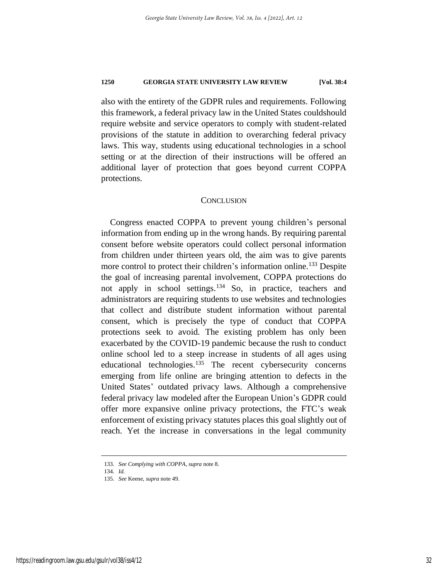also with the entirety of the GDPR rules and requirements. Following this framework, a federal privacy law in the United States couldshould require website and service operators to comply with student-related provisions of the statute in addition to overarching federal privacy laws. This way, students using educational technologies in a school setting or at the direction of their instructions will be offered an additional layer of protection that goes beyond current COPPA protections.

## **CONCLUSION**

Congress enacted COPPA to prevent young children's personal information from ending up in the wrong hands. By requiring parental consent before website operators could collect personal information from children under thirteen years old, the aim was to give parents more control to protect their children's information online.<sup>133</sup> Despite the goal of increasing parental involvement, COPPA protections do not apply in school settings.<sup>134</sup> So, in practice, teachers and administrators are requiring students to use websites and technologies that collect and distribute student information without parental consent, which is precisely the type of conduct that COPPA protections seek to avoid. The existing problem has only been exacerbated by the COVID-19 pandemic because the rush to conduct online school led to a steep increase in students of all ages using educational technologies.<sup>135</sup> The recent cybersecurity concerns emerging from life online are bringing attention to defects in the United States' outdated privacy laws. Although a comprehensive federal privacy law modeled after the European Union's GDPR could offer more expansive online privacy protections, the FTC's weak enforcement of existing privacy statutes places this goal slightly out of reach. Yet the increase in conversations in the legal community

<sup>133</sup>*. See Complying with COPPA*, *supra* note [8.](#page-5-1)

<sup>134</sup>*. Id.*

<sup>135</sup>*. See* Keene, *supra* not[e 49.](#page-14-1)